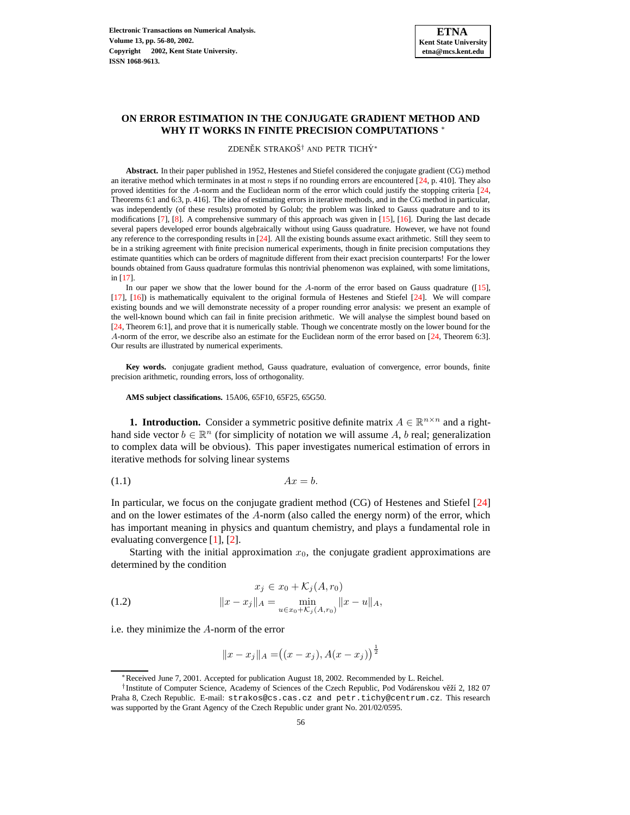## **ON ERROR ESTIMATION IN THE CONJUGATE GRADIENT METHOD AND WHY IT WORKS IN FINITE PRECISION COMPUTATIONS** <sup>∗</sup>

ZDENĚK STRAKOŠ<sup>†</sup> AND PETR TICHÝ<sup>\*</sup>

**Abstract.** In their paper published in 1952, Hestenes and Stiefel considered the conjugate gradient (CG) method an iterative method which terminates in at most  $n$  steps if no rounding errors are encountered [\[24,](#page-24-0) p. 410]. They also proved identities for the A-norm and the Euclidean norm of the error which could justify the stopping criteria [\[24,](#page-24-0) Theorems 6:1 and 6:3, p. 416]. The idea of estimating errors in iterative methods, and in the CG method in particular, was independently (of these results) promoted by Golub; the problem was linked to Gauss quadrature and to its modifications [\[7\]](#page-23-0), [\[8\]](#page-23-1). A comprehensive summary of this approach was given in [\[15\]](#page-23-2), [\[16\]](#page-23-3). During the last decade several papers developed error bounds algebraically without using Gauss quadrature. However, we have not found any reference to the corresponding results in [\[24\]](#page-24-0). All the existing bounds assume exact arithmetic. Still they seem to be in a striking agreement with finite precision numerical experiments, though in finite precision computations they estimate quantities which can be orders of magnitude different from their exact precision counterparts! For the lower bounds obtained from Gauss quadrature formulas this nontrivial phenomenon was explained, with some limitations, in [\[17\]](#page-24-1).

In our paper we show that the lower bound for the A-norm of the error based on Gauss quadrature ([\[15\]](#page-23-2), [\[17\]](#page-24-1), [\[16\]](#page-23-3)) is mathematically equivalent to the original formula of Hestenes and Stiefel [\[24\]](#page-24-0). We will compare existing bounds and we will demonstrate necessity of a proper rounding error analysis: we present an example of the well-known bound which can fail in finite precision arithmetic. We will analyse the simplest bound based on [\[24,](#page-24-0) Theorem 6:1], and prove that it is numerically stable. Though we concentrate mostly on the lower bound for the A-norm of the error, we describe also an estimate for the Euclidean norm of the error based on [\[24,](#page-24-0) Theorem 6:3]. Our results are illustrated by numerical experiments.

**Key words.** conjugate gradient method, Gauss quadrature, evaluation of convergence, error bounds, finite precision arithmetic, rounding errors, loss of orthogonality.

**AMS subject classifications.** 15A06, 65F10, 65F25, 65G50.

**1. Introduction.** Consider a symmetric positive definite matrix  $A \in \mathbb{R}^{n \times n}$  and a righthand side vector  $b \in \mathbb{R}^n$  (for simplicity of notation we will assume A, b real; generalization to complex data will be obvious). This paper investigates numerical estimation of errors in iterative methods for solving linear systems

<span id="page-0-0"></span>
$$
(1.1) \t\t Ax = b.
$$

In particular, we focus on the conjugate gradient method (CG) of Hestenes and Stiefel [\[24\]](#page-24-0) and on the lower estimates of the A-norm (also called the energy norm) of the error, which has important meaning in physics and quantum chemistry, and plays a fundamental role in evaluating convergence [\[1\]](#page-23-4), [\[2\]](#page-23-5).

Starting with the initial approximation  $x_0$ , the conjugate gradient approximations are determined by the condition

<span id="page-0-1"></span>(1.2) 
$$
x_j \in x_0 + \mathcal{K}_j(A, r_0)
$$

$$
||x - x_j||_A = \min_{u \in x_0 + \mathcal{K}_j(A, r_0)} ||x - u||_A,
$$

i.e. they minimize the A-norm of the error

$$
||x - x_j||_A = ((x - x_j), A(x - x_j))^{\frac{1}{2}}
$$

<sup>∗</sup>Received June 7, 2001. Accepted for publication August 18, 2002. Recommended by L. Reichel.

<sup>&</sup>lt;sup>†</sup> Institute of Computer Science, Academy of Sciences of the Czech Republic, Pod Vodárenskou věží 2, 182 07 Praha 8, Czech Republic. E-mail: strakos@cs.cas.cz and petr.tichy@centrum.cz. This research was supported by the Grant Agency of the Czech Republic under grant No. 201/02/0595.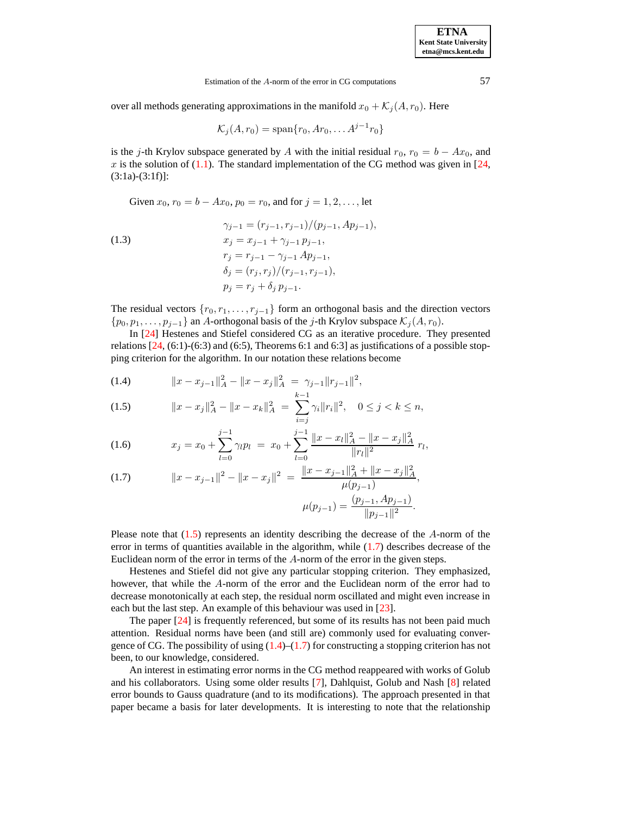Estimation of the A-norm of the error in CG computations 57

over all methods generating approximations in the manifold  $x_0 + \mathcal{K}_j(A, r_0)$ . Here

$$
\mathcal{K}_j(A,r_0)=\text{span}\{r_0, Ar_0, \ldots A^{j-1}r_0\}
$$

is the j-th Krylov subspace generated by A with the initial residual  $r_0$ ,  $r_0 = b - Ax_0$ , and x is the solution of [\(1.1\)](#page-0-0). The standard implementation of the CG method was given in  $[24, 1]$  $[24, 1]$  $(3:1a)-(3:1f)$ ]:

<span id="page-1-1"></span>Given  $x_0$ ,  $r_0 = b - Ax_0$ ,  $p_0 = r_0$ , and for  $j = 1, 2, \dots$ , let

(1.3)  
\n
$$
\gamma_{j-1} = (r_{j-1}, r_{j-1})/(p_{j-1}, Ap_{j-1}),
$$
\n
$$
x_j = x_{j-1} + \gamma_{j-1} p_{j-1},
$$
\n
$$
r_j = r_{j-1} - \gamma_{j-1} Ap_{j-1},
$$
\n
$$
\delta_j = (r_j, r_j)/(r_{j-1}, r_{j-1}),
$$
\n
$$
p_j = r_j + \delta_j p_{j-1}.
$$

The residual vectors  $\{r_0, r_1, \ldots, r_{j-1}\}$  form an orthogonal basis and the direction vectors  $\{p_0, p_1, \ldots, p_{j-1}\}\$ an A-orthogonal basis of the j-th Krylov subspace  $\mathcal{K}_j(A, r_0)$ .

In [\[24\]](#page-24-0) Hestenes and Stiefel considered CG as an iterative procedure. They presented relations  $[24, (6:1)-(6:3)$  $[24, (6:1)-(6:3)$  and  $(6:5)$ , Theorems 6:1 and 6:3] as justifications of a possible stopping criterion for the algorithm. In our notation these relations become

<span id="page-1-0"></span>(1.4) 
$$
||x - x_{j-1}||_A^2 - ||x - x_j||_A^2 = \gamma_{j-1} ||r_{j-1}||^2,
$$

$$
(1.5) \t\t ||x - x_j||_A^2 - ||x - x_k||_A^2 = \sum_{i=j}^{k-1} \gamma_i ||r_i||^2, \quad 0 \le j < k \le n,
$$

$$
(1.6) \t x_j = x_0 + \sum_{l=0}^{j-1} \gamma_l p_l = x_0 + \sum_{l=0}^{j-1} \frac{\|x - x_l\|_A^2 - \|x - x_j\|_A^2}{\|r_l\|^2} r_l,
$$

(1.7) 
$$
||x - x_{j-1}||^2 - ||x - x_j||^2 = \frac{||x - x_{j-1}||_A^2 + ||x - x_j||_A^2}{\mu(p_{j-1})},
$$

$$
\mu(p_{j-1}) = \frac{(p_{j-1}, Ap_{j-1})}{||p_{j-1}||^2}.
$$

Please note that  $(1.5)$  represents an identity describing the decrease of the A-norm of the error in terms of quantities available in the algorithm, while  $(1.7)$  describes decrease of the Euclidean norm of the error in terms of the A-norm of the error in the given steps.

Hestenes and Stiefel did not give any particular stopping criterion. They emphasized, however, that while the A-norm of the error and the Euclidean norm of the error had to decrease monotonically at each step, the residual norm oscillated and might even increase in each but the last step. An example of this behaviour was used in [\[23\]](#page-24-2).

The paper [\[24\]](#page-24-0) is frequently referenced, but some of its results has not been paid much attention. Residual norms have been (and still are) commonly used for evaluating convergence of CG. The possibility of using  $(1.4)$ – $(1.7)$  for constructing a stopping criterion has not been, to our knowledge, considered.

An interest in estimating error norms in the CG method reappeared with works of Golub and his collaborators. Using some older results [\[7\]](#page-23-0), Dahlquist, Golub and Nash [\[8\]](#page-23-1) related error bounds to Gauss quadrature (and to its modifications). The approach presented in that paper became a basis for later developments. It is interesting to note that the relationship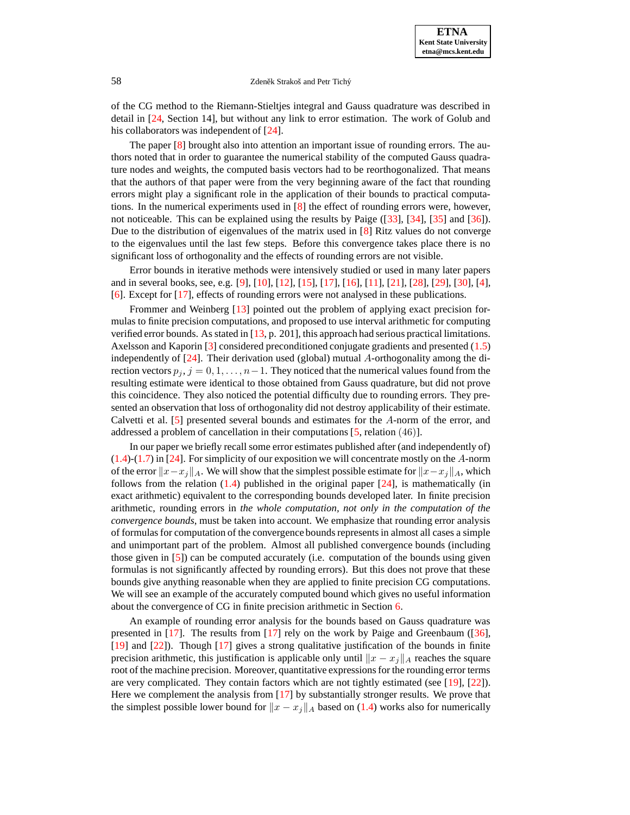of the CG method to the Riemann-Stieltjes integral and Gauss quadrature was described in detail in [\[24,](#page-24-0) Section 14], but without any link to error estimation. The work of Golub and his collaborators was independent of [\[24\]](#page-24-0).

The paper [\[8\]](#page-23-1) brought also into attention an important issue of rounding errors. The authors noted that in order to guarantee the numerical stability of the computed Gauss quadrature nodes and weights, the computed basis vectors had to be reorthogonalized. That means that the authors of that paper were from the very beginning aware of the fact that rounding errors might play a significant role in the application of their bounds to practical computations. In the numerical experiments used in [\[8\]](#page-23-1) the effect of rounding errors were, however, not noticeable. This can be explained using the results by Paige ([\[33\]](#page-24-3), [\[34\]](#page-24-4), [\[35\]](#page-24-5) and [\[36\]](#page-24-6)). Due to the distribution of eigenvalues of the matrix used in [\[8\]](#page-23-1) Ritz values do not converge to the eigenvalues until the last few steps. Before this convergence takes place there is no significant loss of orthogonality and the effects of rounding errors are not visible.

Error bounds in iterative methods were intensively studied or used in many later papers and in several books, see, e.g. [\[9\]](#page-23-6), [\[10\]](#page-23-7), [\[12\]](#page-23-8), [\[15\]](#page-23-2), [\[17\]](#page-24-1), [\[16\]](#page-23-3), [\[11\]](#page-23-9), [\[21\]](#page-24-7), [\[28\]](#page-24-8), [\[29\]](#page-24-9), [\[30\]](#page-24-10), [\[4\]](#page-23-10), [\[6\]](#page-23-11). Except for [\[17\]](#page-24-1), effects of rounding errors were not analysed in these publications.

Frommer and Weinberg [\[13\]](#page-23-12) pointed out the problem of applying exact precision formulas to finite precision computations, and proposed to use interval arithmetic for computing verified error bounds. As stated in  $[13, p. 201]$  $[13, p. 201]$ , this approach had serious practical limitations. Axelsson and Kaporin [\[3\]](#page-23-13) considered preconditioned conjugate gradients and presented [\(1.5\)](#page-1-0) independently of  $[24]$ . Their derivation used (global) mutual A-orthogonality among the direction vectors  $p_j$ ,  $j = 0, 1, \ldots, n-1$ . They noticed that the numerical values found from the resulting estimate were identical to those obtained from Gauss quadrature, but did not prove this coincidence. They also noticed the potential difficulty due to rounding errors. They presented an observation that loss of orthogonality did not destroy applicability of their estimate. Calvetti et al. [\[5\]](#page-23-14) presented several bounds and estimates for the A-norm of the error, and addressed a problem of cancellation in their computations [\[5,](#page-23-14) relation (46)].

In our paper we briefly recall some error estimates published after (and independently of) [\(1.4\)](#page-1-0)-[\(1.7\)](#page-1-0) in [\[24\]](#page-24-0). For simplicity of our exposition we will concentrate mostly on the A-norm of the error  $||x-x_j||_A$ . We will show that the simplest possible estimate for  $||x-x_j||_A$ , which follows from the relation  $(1.4)$  published in the original paper  $[24]$ , is mathematically (in exact arithmetic) equivalent to the corresponding bounds developed later. In finite precision arithmetic, rounding errors in *the whole computation, not only in the computation of the convergence bounds*, must be taken into account. We emphasize that rounding error analysis of formulasfor computation of the convergence boundsrepresentsin almost all cases a simple and unimportant part of the problem. Almost all published convergence bounds (including those given in [\[5\]](#page-23-14)) can be computed accurately (i.e. computation of the bounds using given formulas is not significantly affected by rounding errors). But this does not prove that these bounds give anything reasonable when they are applied to finite precision CG computations. We will see an example of the accurately computed bound which gives no useful information about the convergence of CG in finite precision arithmetic in Section [6.](#page-12-0)

An example of rounding error analysis for the bounds based on Gauss quadrature was presented in [\[17\]](#page-24-1). The results from [\[17\]](#page-24-1) rely on the work by Paige and Greenbaum ([\[36\]](#page-24-6), [\[19\]](#page-24-11) and [\[22\]](#page-24-12)). Though [\[17\]](#page-24-1) gives a strong qualitative justification of the bounds in finite precision arithmetic, this justification is applicable only until  $||x - x_j||_A$  reaches the square root of the machine precision. Moreover, quantitative expressions for the rounding error terms are very complicated. They contain factors which are not tightly estimated (see [\[19\]](#page-24-11), [\[22\]](#page-24-12)). Here we complement the analysis from [\[17\]](#page-24-1) by substantially stronger results. We prove that the simplest possible lower bound for  $||x - x_j||_A$  based on [\(1.4\)](#page-1-0) works also for numerically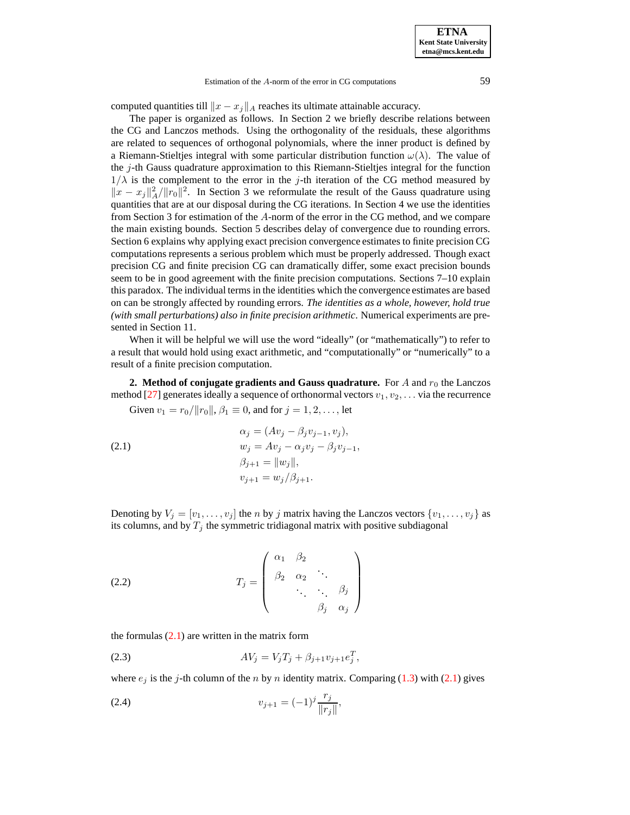Estimation of the A-norm of the error in CG computations 59

computed quantities till  $||x - x_j||_A$  reaches its ultimate attainable accuracy.

The paper is organized as follows. In Section 2 we briefly describe relations between the CG and Lanczos methods. Using the orthogonality of the residuals, these algorithms are related to sequences of orthogonal polynomials, where the inner product is defined by a Riemann-Stieltjes integral with some particular distribution function  $\omega(\lambda)$ . The value of the j-th Gauss quadrature approximation to this Riemann-Stieltjes integral for the function  $1/\lambda$  is the complement to the error in the j-th iteration of the CG method measured by  $||x - x_j||_A^2/||r_0||^2$ . In Section 3 we reformulate the result of the Gauss quadrature using quantities that are at our disposal during the CG iterations. In Section 4 we use the identities from Section 3 for estimation of the A-norm of the error in the CG method, and we compare the main existing bounds. Section 5 describes delay of convergence due to rounding errors. Section 6 explains why applying exact precision convergence estimates to finite precision CG computations represents a serious problem which must be properly addressed. Though exact precision CG and finite precision CG can dramatically differ, some exact precision bounds seem to be in good agreement with the finite precision computations. Sections 7–10 explain this paradox. The individual terms in the identities which the convergence estimates are based on can be strongly affected by rounding errors. *The identities as a whole, however, hold true (with small perturbations) also in finite precision arithmetic*. Numerical experiments are presented in Section 11.

When it will be helpful we will use the word "ideally" (or "mathematically") to refer to a result that would hold using exact arithmetic, and "computationally" or "numerically" to a result of a finite precision computation.

<span id="page-3-3"></span>**2. Method** of conjugate gradients and Gauss quadrature. For A and  $r_0$  the Lanczos method [\[27\]](#page-24-13) generates ideally a sequence of orthonormal vectors  $v_1, v_2, \ldots$  via the recurrence

<span id="page-3-0"></span>Given  $v_1 = r_0/||r_0||$ ,  $\beta_1 \equiv 0$ , and for  $j = 1, 2, \dots$ , let

(2.1) 
$$
\alpha_j = (Av_j - \beta_j v_{j-1}, v_j), \n w_j = Av_j - \alpha_j v_j - \beta_j v_{j-1}, \n \beta_{j+1} = ||w_j||, \n v_{j+1} = w_j/\beta_{j+1}.
$$

Denoting by  $V_j = [v_1, \ldots, v_j]$  the *n* by *j* matrix having the Lanczos vectors  $\{v_1, \ldots, v_j\}$  as its columns, and by  $T_j$  the symmetric tridiagonal matrix with positive subdiagonal

<span id="page-3-1"></span>(2.2) 
$$
T_j = \begin{pmatrix} \alpha_1 & \beta_2 & & \\ \beta_2 & \alpha_2 & \ddots & \\ & \ddots & \ddots & \beta_j \\ & & \beta_j & \alpha_j \end{pmatrix}
$$

<span id="page-3-2"></span>the formulas  $(2.1)$  are written in the matrix form

(2.3) 
$$
AV_j = V_j T_j + \beta_{j+1} v_{j+1} e_j^T,
$$

where  $e_j$  is the j-th column of the n by n identity matrix. Comparing [\(1.3\)](#page-1-1) with [\(2.1\)](#page-3-0) gives

(2.4) 
$$
v_{j+1} = (-1)^j \frac{r_j}{\|r_j\|},
$$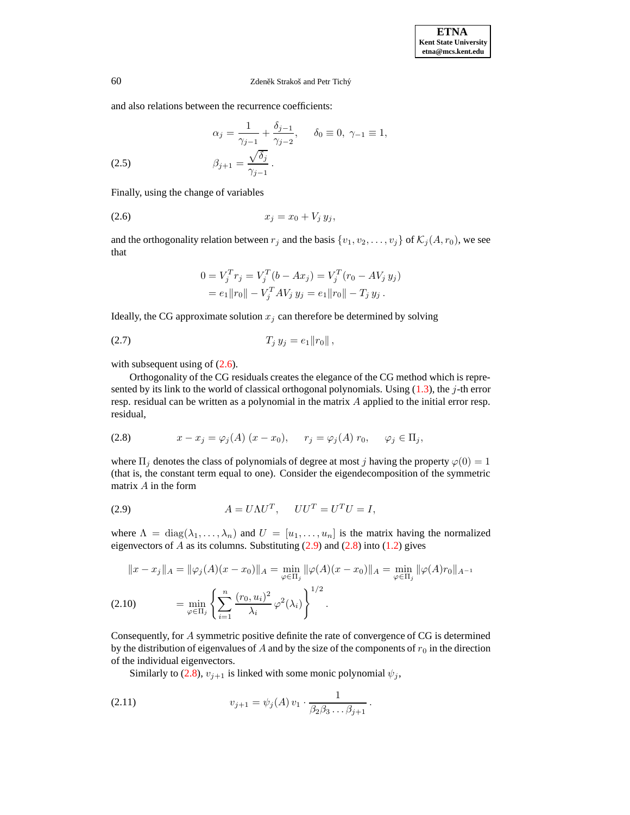and also relations between the recurrence coefficients:

(2.5) 
$$
\alpha_{j} = \frac{1}{\gamma_{j-1}} + \frac{\delta_{j-1}}{\gamma_{j-2}}, \quad \delta_{0} \equiv 0, \ \gamma_{-1} \equiv 1,
$$

$$
\beta_{j+1} = \frac{\sqrt{\delta_{j}}}{\gamma_{j-1}}.
$$

Finally, using the change of variables

$$
(2.6) \t\t x_j = x_0 + V_j y_j,
$$

and the orthogonality relation between  $r_j$  and the basis  $\{v_1, v_2, \ldots, v_j\}$  of  $\mathcal{K}_j(A, r_0)$ , we see that

<span id="page-4-3"></span><span id="page-4-0"></span>
$$
0 = V_j^T r_j = V_j^T (b - Ax_j) = V_j^T (r_0 - A V_j y_j)
$$
  
=  $e_1 ||r_0|| - V_j^T A V_j y_j = e_1 ||r_0|| - T_j y_j$ .

Ideally, the CG approximate solution  $x_j$  can therefore be determined by solving

$$
(2.7) \t\t T_j y_j = e_1 ||r_0||,
$$

with subsequent using of  $(2.6)$ .

Orthogonality of the CG residuals creates the elegance of the CG method which is represented by its link to the world of classical orthogonal polynomials. Using  $(1.3)$ , the j-th error resp. residual can be written as a polynomial in the matrix A applied to the initial error resp. residual,

<span id="page-4-2"></span>
$$
(2.8) \t x - x_j = \varphi_j(A) (x - x_0), \t r_j = \varphi_j(A) r_0, \t \varphi_j \in \Pi_j,
$$

where  $\Pi_j$  denotes the class of polynomials of degree at most j having the property  $\varphi(0) = 1$ (that is, the constant term equal to one). Consider the eigendecomposition of the symmetric matrix A in the form

<span id="page-4-1"></span>
$$
(2.9) \t\t A = U\Lambda U^T, \t UU^T = U^TU = I,
$$

where  $\Lambda = \text{diag}(\lambda_1, \ldots, \lambda_n)$  and  $U = [u_1, \ldots, u_n]$  is the matrix having the normalized eigenvectors of A as its columns. Substituting  $(2.9)$  and  $(2.8)$  into  $(1.2)$  gives

<span id="page-4-4"></span>
$$
||x - x_j||_A = ||\varphi_j(A)(x - x_0)||_A = \min_{\varphi \in \Pi_j} ||\varphi(A)(x - x_0)||_A = \min_{\varphi \in \Pi_j} ||\varphi(A)r_0||_{A^{-1}}
$$
  
(2.10) 
$$
= \min_{\varphi \in \Pi_j} \left\{ \sum_{i=1}^n \frac{(r_0, u_i)^2}{\lambda_i} \varphi^2(\lambda_i) \right\}^{1/2}.
$$

Consequently, for A symmetric positive definite the rate of convergence of CG is determined by the distribution of eigenvalues of A and by the size of the components of  $r_0$  in the direction of the individual eigenvectors.

Similarly to [\(2.8\)](#page-4-2),  $v_{j+1}$  is linked with some monic polynomial  $\psi_j$ ,

(2.11) 
$$
v_{j+1} = \psi_j(A) v_1 \cdot \frac{1}{\beta_2 \beta_3 \dots \beta_{j+1}}.
$$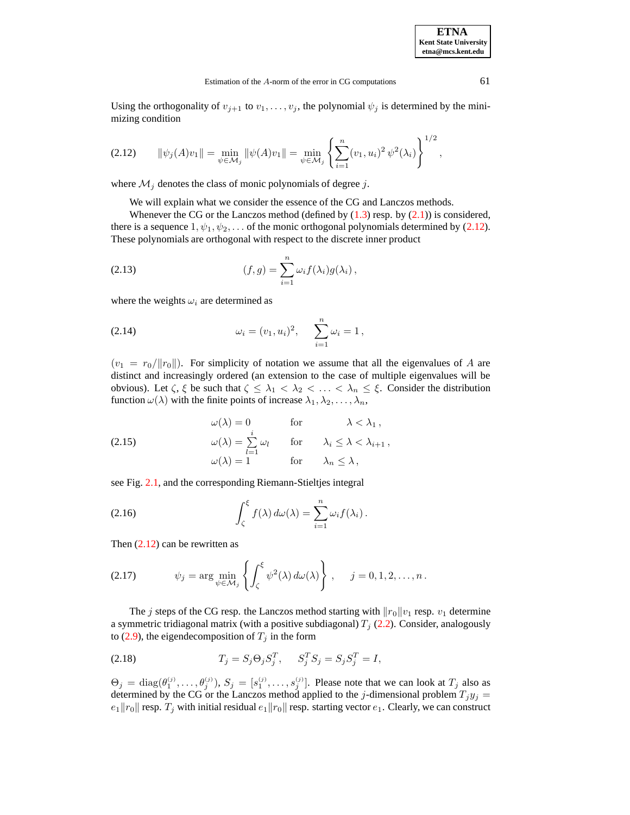Using the orthogonality of  $v_{j+1}$  to  $v_1, \ldots, v_j$ , the polynomial  $\psi_j$  is determined by the minimizing condition

<span id="page-5-0"></span>
$$
(2.12) \qquad \|\psi_j(A)v_1\| = \min_{\psi \in \mathcal{M}_j} \|\psi(A)v_1\| = \min_{\psi \in \mathcal{M}_j} \left\{ \sum_{i=1}^n (v_1, u_i)^2 \, \psi^2(\lambda_i) \right\}^{1/2},
$$

where  $\mathcal{M}_j$  denotes the class of monic polynomials of degree j.

We will explain what we consider the essence of the CG and Lanczos methods.

Whenever the CG or the Lanczos method (defined by  $(1.3)$  resp. by  $(2.1)$ ) is considered, there is a sequence  $1, \psi_1, \psi_2, \dots$  of the monic orthogonal polynomials determined by [\(2.12\)](#page-5-0). These polynomials are orthogonal with respect to the discrete inner product

(2.13) 
$$
(f,g) = \sum_{i=1}^{n} \omega_i f(\lambda_i) g(\lambda_i),
$$

where the weights  $\omega_i$  are determined as

(2.14) 
$$
\omega_i = (v_1, u_i)^2, \quad \sum_{i=1}^n \omega_i = 1,
$$

 $(v_1 = r_0/||r_0||)$ . For simplicity of notation we assume that all the eigenvalues of A are distinct and increasingly ordered (an extension to the case of multiple eigenvalues will be obvious). Let  $\zeta$ ,  $\xi$  be such that  $\zeta \leq \lambda_1 < \lambda_2 < \ldots < \lambda_n \leq \xi$ . Consider the distribution function  $\omega(\lambda)$  with the finite points of increase  $\lambda_1, \lambda_2, \ldots, \lambda_n$ ,

(2.15) 
$$
\omega(\lambda) = 0 \quad \text{for} \quad \lambda < \lambda_1,
$$

$$
\omega(\lambda) = \sum_{l=1}^i \omega_l \quad \text{for} \quad \lambda_i \leq \lambda < \lambda_{i+1},
$$

$$
\omega(\lambda) = 1 \quad \text{for} \quad \lambda_n \leq \lambda,
$$

see Fig. [2.1,](#page-21-0) and the corresponding Riemann-Stieltjes integral

<span id="page-5-2"></span>(2.16) 
$$
\int_{\zeta}^{\xi} f(\lambda) d\omega(\lambda) = \sum_{i=1}^{n} \omega_i f(\lambda_i).
$$

Then  $(2.12)$  can be rewritten as

<span id="page-5-1"></span>(2.17) 
$$
\psi_j = \arg \min_{\psi \in \mathcal{M}_j} \left\{ \int_{\zeta}^{\xi} \psi^2(\lambda) d\omega(\lambda) \right\}, \quad j = 0, 1, 2, \dots, n.
$$

The j steps of the CG resp. the Lanczos method starting with  $||r_0||v_1$  resp.  $v_1$  determine a symmetric tridiagonal matrix (with a positive subdiagonal)  $T_i$  [\(2.2\)](#page-3-1). Consider, analogously to [\(2.9\)](#page-4-1), the eigendecomposition of  $T_j$  in the form

(2.18) 
$$
T_j = S_j \Theta_j S_j^T, \quad S_j^T S_j = S_j S_j^T = I,
$$

 $\Theta_j = \text{diag}(\theta_1^{(j)}, \dots, \theta_j^{(j)}), S_j = [s_1^{(j)}, \dots, s_j^{(j)}].$  Please note that we can look at  $T_j$  also as determined by the CG or the Lanczos method applied to the j-dimensional problem  $T_jy_j =$  $e_1||r_0||$  resp.  $T_j$  with initial residual  $e_1||r_0||$  resp. starting vector  $e_1$ . Clearly, we can construct

**ETNA Kent State University etna@mcs.kent.edu**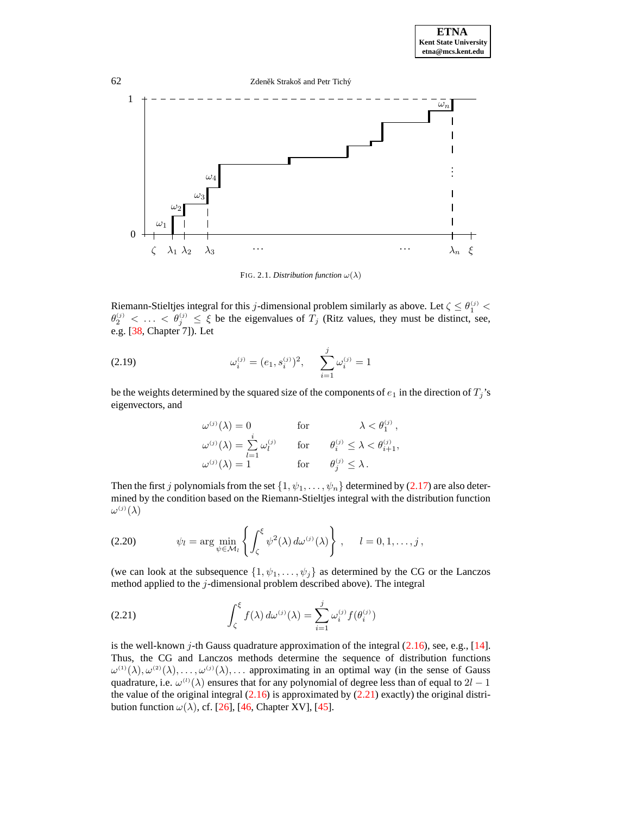62 Zdeněk Strakoš and Petr Tichý . . . 0 1  $\omega_1$  $\omega_2$  $\omega_3$  $\omega_4$  $\omega_n$  $\lambda_2$   $\lambda_3$ . . . . . . <sup>λ</sup><sup>n</sup> <sup>ξ</sup>

FIG. 2.1. *Distribution function*  $\omega(\lambda)$ 

Riemann-Stieltjes integral for this j-dimensional problem similarly as above. Let  $\zeta \leq \theta_1^{(j)}$  $\theta_2^{(j)} < \ldots < \theta_j^{(j)} \le \xi$  be the eigenvalues of  $T_j$  (Ritz values, they must be distinct, see, e.g. [\[38,](#page-24-14) Chapter 7]). Let

(2.19) 
$$
\omega_i^{(j)} = (e_1, s_i^{(j)})^2, \quad \sum_{i=1}^j \omega_i^{(j)} = 1
$$

be the weights determined by the squared size of the components of  $e_1$  in the direction of  $T_j$ 's eigenvectors, and

$$
\begin{aligned} \omega^{(j)}(\lambda) &= 0 & \text{for} & \lambda < \theta_1^{(j)} \,, \\ \omega^{(j)}(\lambda) &= \sum_{l=1}^i \omega_l^{(j)} & \text{for} & \theta_i^{(j)} \leq \lambda < \theta_{i+1}^{(j)}, \\ \omega^{(j)}(\lambda) &= 1 & \text{for} & \theta_j^{(j)} \leq \lambda \,. \end{aligned}
$$

Then the first j polynomials from the set  $\{1, \psi_1, \dots, \psi_n\}$  determined by [\(2.17\)](#page-5-1) are also determined by the condition based on the Riemann-Stieltjes integral with the distribution function  $\omega^{(j)}(\lambda)$ 

(2.20) 
$$
\psi_l = \arg \min_{\psi \in \mathcal{M}_l} \left\{ \int_{\zeta}^{\xi} \psi^2(\lambda) d\omega^{(j)}(\lambda) \right\}, \quad l = 0, 1, \dots, j,
$$

(we can look at the subsequence  $\{1, \psi_1, \dots, \psi_j\}$  as determined by the CG or the Lanczos method applied to the j-dimensional problem described above). The integral

<span id="page-6-0"></span>(2.21) 
$$
\int_{\zeta}^{\xi} f(\lambda) d\omega^{(j)}(\lambda) = \sum_{i=1}^{j} \omega_i^{(j)} f(\theta_i^{(j)})
$$

is the well-known j-th Gauss quadrature approximation of the integral  $(2.16)$ , see, e.g., [\[14\]](#page-23-15). Thus, the CG and Lanczos methods determine the sequence of distribution functions  $\omega^{(1)}(\lambda), \omega^{(2)}(\lambda), \ldots, \omega^{(j)}(\lambda), \ldots$  approximating in an optimal way (in the sense of Gauss quadrature, i.e.  $\omega^{(1)}(\lambda)$  ensures that for any polynomial of degree less than of equal to  $2l-1$ the value of the original integral  $(2.16)$  is approximated by  $(2.21)$  exactly) the original distribution function  $\omega(\lambda)$ , cf. [\[26\]](#page-24-15), [\[46,](#page-24-16) Chapter XV], [\[45\]](#page-24-17).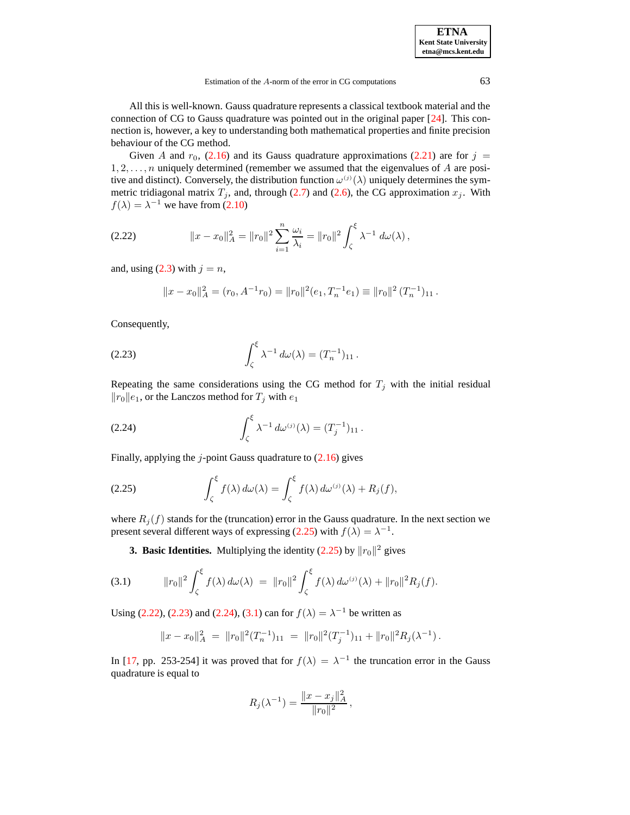**ETNA Kent State University etna@mcs.kent.edu**

All this is well-known. Gauss quadrature represents a classical textbook material and the connection of CG to Gauss quadrature was pointed out in the original paper [\[24\]](#page-24-0). This connection is, however, a key to understanding both mathematical properties and finite precision behaviour of the CG method.

Given A and  $r_0$ , [\(2.16\)](#page-5-2) and its Gauss quadrature approximations [\(2.21\)](#page-6-0) are for  $j =$  $1, 2, \ldots, n$  uniquely determined (remember we assumed that the eigenvalues of A are positive and distinct). Conversely, the distribution function  $\omega^{(j)}(\lambda)$  uniquely determines the symmetric tridiagonal matrix  $T_j$ , and, through [\(2.7\)](#page-4-3) and [\(2.6\)](#page-4-0), the CG approximation  $x_j$ . With  $f(\lambda) = \lambda^{-1}$  we have from [\(2.10\)](#page-4-4)

<span id="page-7-1"></span>(2.22) 
$$
||x - x_0||_A^2 = ||r_0||^2 \sum_{i=1}^n \frac{\omega_i}{\lambda_i} = ||r_0||^2 \int_{\zeta}^{\xi} \lambda^{-1} d\omega(\lambda),
$$

and, using  $(2.3)$  with  $j = n$ ,

<span id="page-7-2"></span>
$$
||x - x_0||_A^2 = (r_0, A^{-1}r_0) = ||r_0||^2(e_1, T_n^{-1}e_1) \equiv ||r_0||^2 (T_n^{-1})_{11}.
$$

Consequently,

(2.23) 
$$
\int_{\zeta}^{\xi} \lambda^{-1} d\omega(\lambda) = (T_n^{-1})_{11}.
$$

Repeating the same considerations using the CG method for  $T_j$  with the initial residual  $||r_0||e_1$ , or the Lanczos method for  $T_i$  with  $e_1$ 

<span id="page-7-3"></span>(2.24) 
$$
\int_{\zeta}^{\xi} \lambda^{-1} d\omega^{(j)}(\lambda) = (T_j^{-1})_{11}.
$$

Finally, applying the  $j$ -point Gauss quadrature to  $(2.16)$  gives

<span id="page-7-0"></span>(2.25) 
$$
\int_{\zeta}^{\xi} f(\lambda) d\omega(\lambda) = \int_{\zeta}^{\xi} f(\lambda) d\omega^{(j)}(\lambda) + R_j(f),
$$

where  $R_i(f)$  stands for the (truncation) error in the Gauss quadrature. In the next section we present several different ways of expressing [\(2.25\)](#page-7-0) with  $f(\lambda) = \lambda^{-1}$ .

**3. Basic Identities.** Multiplying the identity  $(2.25)$  by  $||r_0||^2$  gives

<span id="page-7-4"></span>(3.1) 
$$
\|r_0\|^2 \int_{\zeta}^{\xi} f(\lambda) d\omega(\lambda) = \|r_0\|^2 \int_{\zeta}^{\xi} f(\lambda) d\omega^{(j)}(\lambda) + \|r_0\|^2 R_j(f).
$$

Using [\(2.22\)](#page-7-1), [\(2.23\)](#page-7-2) and [\(2.24\)](#page-7-3), [\(3.1\)](#page-7-4) can for  $f(\lambda) = \lambda^{-1}$  be written as

$$
||x-x_0||_A^2 = ||r_0||^2 (T_n^{-1})_{11} = ||r_0||^2 (T_j^{-1})_{11} + ||r_0||^2 R_j(\lambda^{-1}).
$$

In [\[17,](#page-24-1) pp. 253-254] it was proved that for  $f(\lambda) = \lambda^{-1}$  the truncation error in the Gauss quadrature is equal to

$$
R_j(\lambda^{-1}) = \frac{\|x - x_j\|_A^2}{\|r_0\|^2},
$$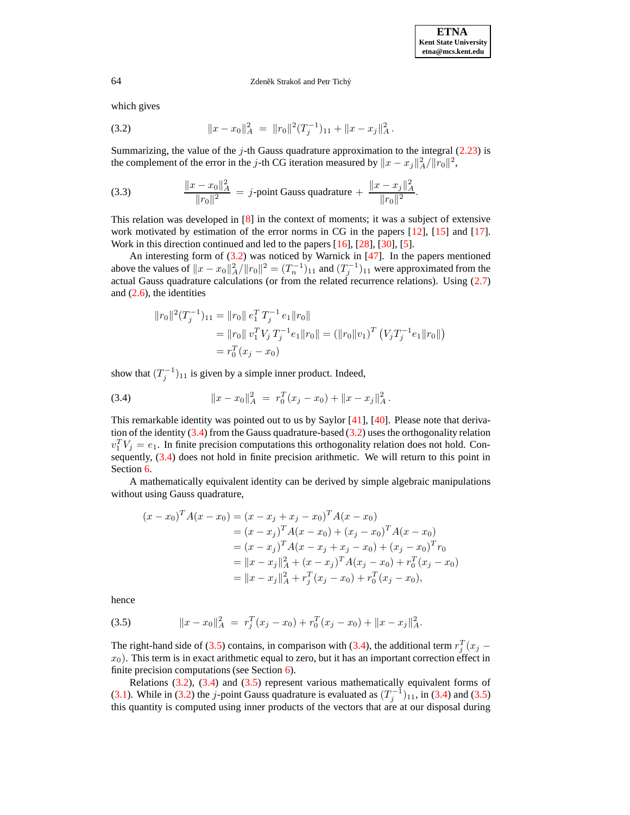<span id="page-8-0"></span>which gives

(3.2) 
$$
||x - x_0||_A^2 = ||r_0||^2 (T_j^{-1})_{11} + ||x - x_j||_A^2.
$$

Summarizing, the value of the  $j$ -th Gauss quadrature approximation to the integral  $(2.23)$  is the complement of the error in the *j*-th CG iteration measured by  $||x - x_j||_A^2/||r_0||^2$ ,

(3.3) 
$$
\frac{\|x - x_0\|_A^2}{\|r_0\|^2} = j\text{-point Gauss quadrature} + \frac{\|x - x_j\|_A^2}{\|r_0\|^2}.
$$

This relation was developed in  $[8]$  in the context of moments; it was a subject of extensive work motivated by estimation of the error norms in CG in the papers [\[12\]](#page-23-8), [\[15\]](#page-23-2) and [\[17\]](#page-24-1). Work in this direction continued and led to the papers [\[16\]](#page-23-3), [\[28\]](#page-24-8), [\[30\]](#page-24-10), [\[5\]](#page-23-14).

An interesting form of  $(3.2)$  was noticed by Warnick in  $[47]$ . In the papers mentioned above the values of  $||x-x_0||_A^2/||r_0||^2 = (T_n^{-1})_{11}$  and  $(T_j^{-1})_{11}$  were approximated from the actual Gauss quadrature calculations (or from the related recurrence relations). Using [\(2.7\)](#page-4-3) and [\(2.6\)](#page-4-0), the identities

$$
||r_0||^2 (T_j^{-1})_{11} = ||r_0|| e_1^T T_j^{-1} e_1 ||r_0||
$$
  
=  $||r_0|| v_1^T V_j T_j^{-1} e_1 ||r_0|| = (||r_0||v_1)^T (V_j T_j^{-1} e_1 ||r_0||)$   
=  $r_0^T (x_j - x_0)$ 

show that  $(T_j^{-1})_{11}$  is given by a simple inner product. Indeed,

<span id="page-8-1"></span>(3.4) 
$$
||x - x_0||_A^2 = r_0^T (x_j - x_0) + ||x - x_j||_A^2.
$$

This remarkable identity was pointed out to us by Saylor [\[41\]](#page-24-19), [\[40\]](#page-24-20). Please note that derivation of the identity  $(3.4)$  from the Gauss quadrature-based  $(3.2)$  uses the orthogonality relation  $v_1^T V_j = e_1$ . In finite precision computations this orthogonality relation does not hold. Consequently, [\(3.4\)](#page-8-1) does not hold in finite precision arithmetic. We will return to this point in Section [6.](#page-12-0)

A mathematically equivalent identity can be derived by simple algebraic manipulations without using Gauss quadrature,

$$
(x - x_0)^T A (x - x_0) = (x - x_j + x_j - x_0)^T A (x - x_0)
$$
  
=  $(x - x_j)^T A (x - x_0) + (x_j - x_0)^T A (x - x_0)$   
=  $(x - x_j)^T A (x - x_j + x_j - x_0) + (x_j - x_0)^T r_0$   
=  $||x - x_j||_A^2 + (x - x_j)^T A (x_j - x_0) + r_0^T (x_j - x_0)$   
=  $||x - x_j||_A^2 + r_j^T (x_j - x_0) + r_0^T (x_j - x_0),$ 

<span id="page-8-2"></span>hence

(3.5) 
$$
||x - x_0||_A^2 = r_j^T(x_j - x_0) + r_0^T(x_j - x_0) + ||x - x_j||_A^2.
$$

The right-hand side of [\(3.5\)](#page-8-2) contains, in comparison with [\(3.4\)](#page-8-1), the additional term  $r_j^T(x_j$  $x_0$ ). This term is in exact arithmetic equal to zero, but it has an important correction effect in finite precision computations (see Section  $\overline{6}$ ).

Relations  $(3.2)$ ,  $(3.4)$  and  $(3.5)$  represent various mathematically equivalent forms of [\(3.1\)](#page-7-4). While in [\(3.2\)](#page-8-0) the j-point Gauss quadrature is evaluated as  $(T_j^{-1})_{11}$ , in [\(3.4\)](#page-8-1) and [\(3.5\)](#page-8-2) this quantity is computed using inner products of the vectors that are at our disposal during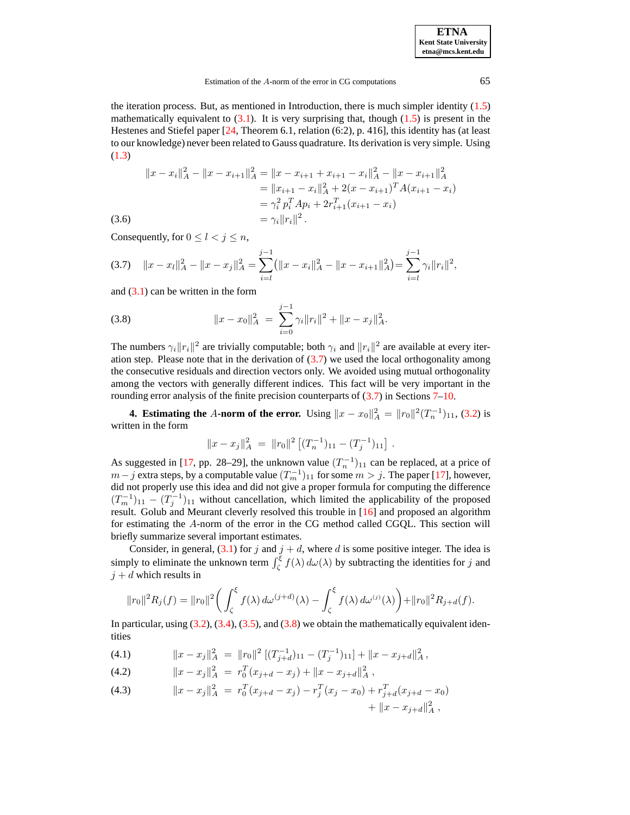| <b>ETNA</b>                  |
|------------------------------|
| <b>Kent State University</b> |
| etna@mcs.kent.edu            |

the iteration process. But, as mentioned in Introduction, there is much simpler identity  $(1.5)$ mathematically equivalent to  $(3.1)$ . It is very surprising that, though  $(1.5)$  is present in the Hestenes and Stiefel paper [\[24,](#page-24-0) Theorem 6.1, relation (6:2), p. 416], this identity has (at least to our knowledge) never been related to Gauss quadrature. Its derivation is very simple. Using [\(1.3\)](#page-1-1)

$$
||x - xi||2A - ||x - xi+1||2A = ||x - xi+1 + xi+1 - xi||2A - ||x - xi+1||2A= ||xi+1 - xi||2A + 2(x - xi+1)T A(xi+1 - xi)= \gammai2 piT Api + 2ri+1T(xi+1 - xi)= \gammai ||ri||2.
$$

Consequently, for  $0 \le l \le j \le n$ ,

<span id="page-9-0"></span>
$$
(3.7) \quad ||x - x_l||_A^2 - ||x - x_j||_A^2 = \sum_{i=1}^{j-1} (||x - x_i||_A^2 - ||x - x_{i+1}||_A^2) = \sum_{i=1}^{j-1} \gamma_i ||r_i||^2,
$$

and  $(3.1)$  can be written in the form

<span id="page-9-1"></span>(3.8) 
$$
||x - x_0||_A^2 = \sum_{i=0}^{j-1} \gamma_i ||r_i||^2 + ||x - x_j||_A^2.
$$

The numbers  $\gamma_i \|r_i\|^2$  are trivially computable; both  $\gamma_i$  and  $\|r_i\|^2$  are available at every iteration step. Please note that in the derivation of  $(3.7)$  we used the local orthogonality among the consecutive residuals and direction vectors only. We avoided using mutual orthogonality among the vectors with generally different indices. This fact will be very important in the rounding error analysis of the finite precision counterparts of  $(3.7)$  in Sections  $7-10$ .

**4. Estimating the** A-norm of the error. Using  $||x - x_0||_A^2 = ||r_0||^2 (T_n^{-1})_{11}$ , [\(3.2\)](#page-8-0) is written in the form

$$
||x - x_j||_A^2 = ||r_0||^2 [(T_n^{-1})_{11} - (T_j^{-1})_{11}].
$$

As suggested in [\[17,](#page-24-1) pp. 28–29], the unknown value  $(T_n^{-1})_{11}$  can be replaced, at a price of  $m-j$  extra steps, by a computable value  $(T_m^{-1})_{11}$  for some  $m > j$ . The paper [\[17\]](#page-24-1), however, did not properly use this idea and did not give a proper formula for computing the difference  $(T_m^{-1})_{11} - (T_j^{-1})_{11}$  without cancellation, which limited the applicability of the proposed result. Golub and Meurant cleverly resolved this trouble in [\[16\]](#page-23-3) and proposed an algorithm for estimating the A-norm of the error in the CG method called CGQL. This section will briefly summarize several important estimates.

Consider, in general,  $(3.1)$  for j and  $j + d$ , where d is some positive integer. The idea is simply to eliminate the unknown term  $\int_{\zeta}^{\xi} f(\lambda) d\omega(\lambda)$  by subtracting the identities for j and  $j + d$  which results in

$$
||r_0||^2 R_j(f) = ||r_0||^2 \bigg( \int_{\zeta}^{\xi} f(\lambda) d\omega^{(j+d)}(\lambda) - \int_{\zeta}^{\xi} f(\lambda) d\omega^{(j)}(\lambda) \bigg) + ||r_0||^2 R_{j+d}(f).
$$

In particular, using  $(3.2)$ ,  $(3.4)$ ,  $(3.5)$ , and  $(3.8)$  we obtain the mathematically equivalent identities

<span id="page-9-2"></span>(4.1)  $\|x - x_j\|_A^2 = \|r_0\|^2 \left[ (T_{j+d}^{-1})_{11} - (T_j^{-1})_{11} \right] + \|x - x_{j+d}\|_A^2,$ 

(4.2) 
$$
||x - x_j||_A^2 = r_0^T (x_{j+d} - x_j) + ||x - x_{j+d}||_A^2,
$$

(4.3) 
$$
||x - x_j||_A^2 = r_0^T (x_{j+d} - x_j) - r_j^T (x_j - x_0) + r_{j+d}^T (x_{j+d} - x_0) + ||x - x_{j+d}||_A^2,
$$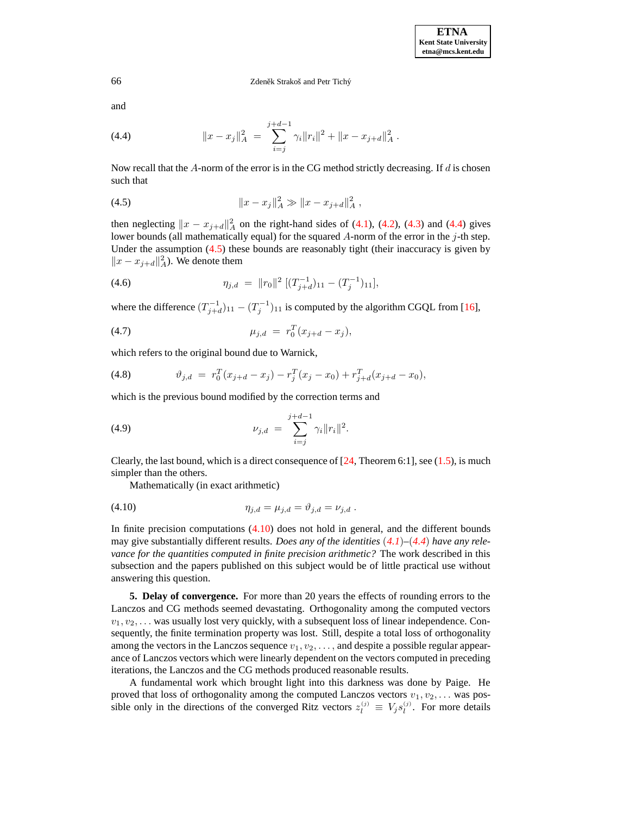and

<span id="page-10-0"></span>(4.4) 
$$
||x - x_j||_A^2 = \sum_{i=j}^{j+d-1} \gamma_i ||r_i||^2 + ||x - x_{j+d}||_A^2.
$$

Now recall that the  $A$ -norm of the error is in the CG method strictly decreasing. If  $d$  is chosen such that

<span id="page-10-1"></span>(4.5) 
$$
||x - x_j||_A^2 \gg ||x - x_{j+d}||_A^2,
$$

then neglecting  $||x - x_{j+d}||_A^2$  on the right-hand sides of [\(4.1\)](#page-9-2), [\(4.2\)](#page-9-2), [\(4.3\)](#page-9-2) and [\(4.4\)](#page-10-0) gives lower bounds (all mathematically equal) for the squared  $A$ -norm of the error in the  $j$ -th step. Under the assumption  $(4.5)$  these bounds are reasonably tight (their inaccuracy is given by  $||x - x_{j+d}||_A^2$ . We denote them

<span id="page-10-3"></span>(4.6) 
$$
\eta_{j,d} = \|r_0\|^2 \left[ (T_{j+d}^{-1})_{11} - (T_j^{-1})_{11} \right],
$$

where the difference  $(T_{j+d}^{-1})_{11} - (T_j^{-1})_{11}$  is computed by the algorithm CGQL from [\[16\]](#page-23-3),

<span id="page-10-5"></span>(4.7) 
$$
\mu_{j,d} = r_0^T (x_{j+d} - x_j),
$$

which refers to the original bound due to Warnick,

<span id="page-10-6"></span>(4.8) 
$$
\vartheta_{j,d} = r_0^T (x_{j+d} - x_j) - r_j^T (x_j - x_0) + r_{j+d}^T (x_{j+d} - x_0),
$$

which is the previous bound modified by the correction terms and

<span id="page-10-4"></span>(4.9) 
$$
\nu_{j,d} = \sum_{i=j}^{j+d-1} \gamma_i \|r_i\|^2.
$$

Clearly, the last bound, which is a direct consequence of  $[24,$  Theorem 6:1], see  $(1.5)$ , is much simpler than the others.

<span id="page-10-2"></span>Mathematically (in exact arithmetic)

(4.10) 
$$
\eta_{j,d} = \mu_{j,d} = \vartheta_{j,d} = \nu_{j,d} .
$$

In finite precision computations [\(4.10\)](#page-10-2) does not hold in general, and the different bounds may give substantially different results. *Does any of the identities* (*[4.1](#page-9-2)*)*–*(*[4.4](#page-10-0)*) *have any relevance for the quantities computed in finite precision arithmetic?* The work described in this subsection and the papers published on this subject would be of little practical use without answering this question.

<span id="page-10-7"></span>**5. Delay of convergence.** For more than 20 years the effects of rounding errors to the Lanczos and CG methods seemed devastating. Orthogonality among the computed vectors  $v_1, v_2, \ldots$  was usually lost very quickly, with a subsequent loss of linear independence. Consequently, the finite termination property was lost. Still, despite a total loss of orthogonality among the vectors in the Lanczos sequence  $v_1, v_2, \ldots$ , and despite a possible regular appearance of Lanczos vectors which were linearly dependent on the vectors computed in preceding iterations, the Lanczos and the CG methods produced reasonable results.

A fundamental work which brought light into this darkness was done by Paige. He proved that loss of orthogonality among the computed Lanczos vectors  $v_1, v_2, \ldots$  was possible only in the directions of the converged Ritz vectors  $z_l^{(j)} \equiv V_j s_l^{(j)}$ . For more details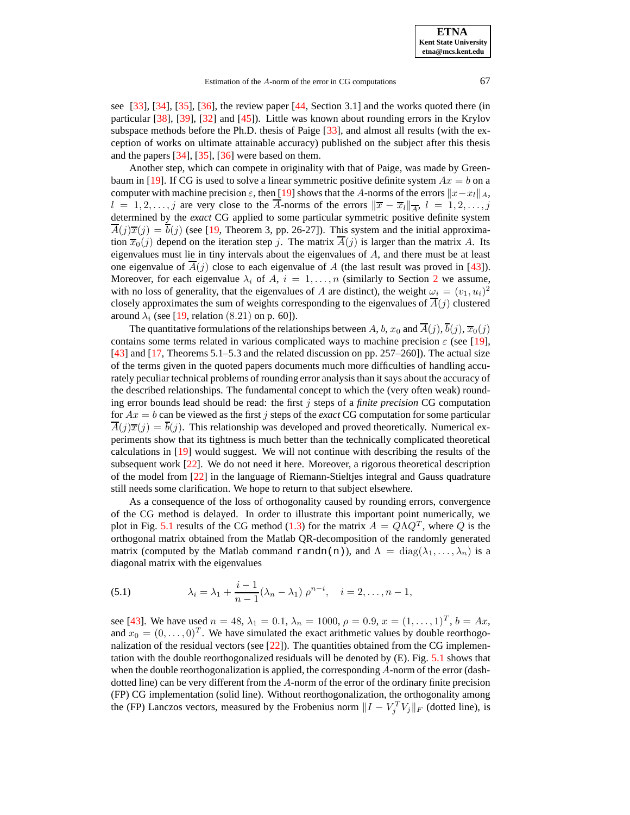see  $[33]$ ,  $[34]$ ,  $[35]$ ,  $[36]$ , the review paper  $[44]$ , Section 3.1] and the works quoted there (in particular [\[38\]](#page-24-14), [\[39\]](#page-24-22), [\[32\]](#page-24-23) and [\[45\]](#page-24-17)). Little was known about rounding errors in the Krylov subspace methods before the Ph.D. thesis of Paige [\[33\]](#page-24-3), and almost all results (with the exception of works on ultimate attainable accuracy) published on the subject after this thesis and the papers [\[34\]](#page-24-4), [\[35\]](#page-24-5), [\[36\]](#page-24-6) were based on them.

Another step, which can compete in originality with that of Paige, was made by Green-baum in [\[19\]](#page-24-11). If CG is used to solve a linear symmetric positive definite system  $Ax = b$  on a computer with machine precision  $\varepsilon$ , then [\[19\]](#page-24-11) shows that the A-norms of the errors  $||x-x_l||_A$ ,  $l = 1, 2, \ldots, j$  are very close to the A-norms of the errors  $\|\bar{x} - \bar{x}_l\|_{\overline{A}}, l = 1, 2, \ldots, j$ determined by the *exact* CG applied to some particular symmetric positive definite system  $\overline{A}(j)\overline{x}(j) = \overline{b}(j)$  (see [\[19,](#page-24-11) Theorem 3, pp. 26-27]). This system and the initial approximation  $\overline{x}_0(j)$  depend on the iteration step j. The matrix  $\overline{A}(j)$  is larger than the matrix A. Its eigenvalues must lie in tiny intervals about the eigenvalues of  $A$ , and there must be at least one eigenvalue of  $\overline{A}(j)$  close to each eigenvalue of A (the last result was proved in [\[43\]](#page-24-24)). Moreover, for each eigenvalue  $\lambda_i$  of A,  $i = 1, \ldots, n$  (similarly to Section [2](#page-3-3) we assume, with no loss of generality, that the eigenvalues of A are distinct), the weight  $\omega_i = (v_1, u_i)^2$ closely approximates the sum of weights corresponding to the eigenvalues of  $\overline{A}(j)$  clustered around  $\lambda_i$  (see [\[19,](#page-24-11) relation (8.21) on p. 60]).

The quantitative formulations of the relationships between A, b,  $x_0$  and  $\overline{A}(j)$ ,  $\overline{b}(j)$ ,  $\overline{x_0}(j)$ contains some terms related in various complicated ways to machine precision  $\varepsilon$  (see [\[19\]](#page-24-11),  $[43]$  and  $[17]$ , Theorems 5.1–5.3 and the related discussion on pp. 257–260]). The actual size of the terms given in the quoted papers documents much more difficulties of handling accurately peculiar technical problems of rounding error analysis than it says about the accuracy of the described relationships. The fundamental concept to which the (very often weak) rounding error bounds lead should be read: the first j steps of a *finite precision* CG computation for  $Ax = b$  can be viewed as the first j steps of the *exact* CG computation for some particular  $\overline{A}(j)\overline{x}(j) = \overline{b}(j)$ . This relationship was developed and proved theoretically. Numerical experiments show that its tightness is much better than the technically complicated theoretical calculations in [\[19\]](#page-24-11) would suggest. We will not continue with describing the results of the subsequent work [\[22\]](#page-24-12). We do not need it here. Moreover, a rigorous theoretical description of the model from [\[22\]](#page-24-12) in the language of Riemann-Stieltjes integral and Gauss quadrature still needs some clarification. We hope to return to that subject elsewhere.

As a consequence of the loss of orthogonality caused by rounding errors, convergence of the CG method is delayed. In order to illustrate this important point numerically, we plot in Fig. [5.1](#page-21-0) results of the CG method [\(1.3\)](#page-1-1) for the matrix  $A = Q\Lambda Q^T$ , where Q is the orthogonal matrix obtained from the Matlab QR-decomposition of the randomly generated matrix (computed by the Matlab command randn(n)), and  $\Lambda = \text{diag}(\lambda_1, \ldots, \lambda_n)$  is a diagonal matrix with the eigenvalues

(5.1) 
$$
\lambda_i = \lambda_1 + \frac{i-1}{n-1} (\lambda_n - \lambda_1) \rho^{n-i}, \quad i = 2, ..., n-1,
$$

see [\[43\]](#page-24-24). We have used  $n = 48$ ,  $\lambda_1 = 0.1$ ,  $\lambda_n = 1000$ ,  $\rho = 0.9$ ,  $x = (1, \dots, 1)^T$ ,  $b = Ax$ , and  $x_0 = (0, \ldots, 0)^T$ . We have simulated the exact arithmetic values by double reorthogonalization of the residual vectors (see  $[22]$ ). The quantities obtained from the CG implementation with the double reorthogonalized residuals will be denoted by (E). Fig. [5.1](#page-21-0) shows that when the double reorthogonalization is applied, the corresponding  $A$ -norm of the error (dashdotted line) can be very different from the A-norm of the error of the ordinary finite precision (FP) CG implementation (solid line). Without reorthogonalization, the orthogonality among the (FP) Lanczos vectors, measured by the Frobenius norm  $\|I - V_j^T V_j\|_F$  (dotted line), is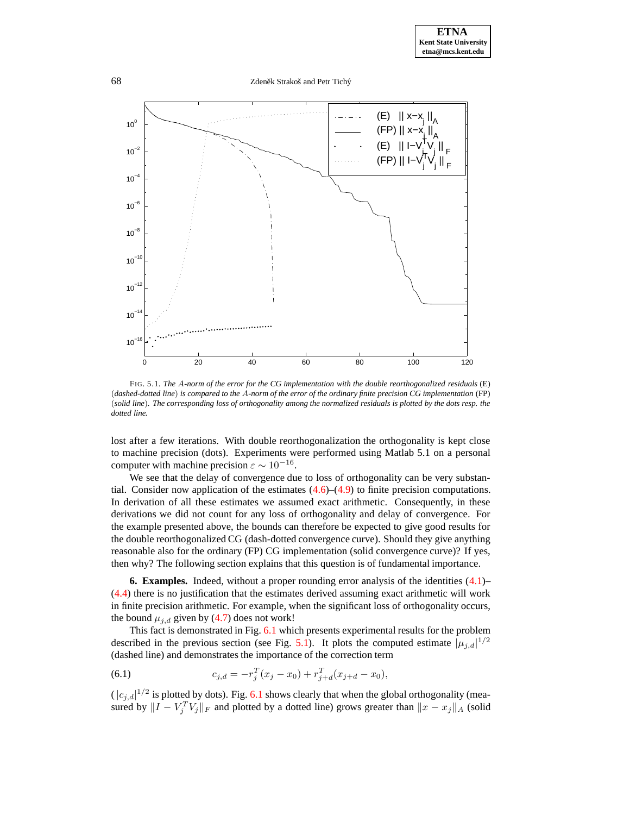68 Zdeněk Strakoš and Petr Tichý



FIG. 5.1. *The* A*-norm of the error for the CG implementation with the double reorthogonalized residuals* (E) (dashed-dotted line) is compared to the A-norm of the error of the ordinary finite precision CG implementation (FP) (solid line). The corresponding loss of orthogonality among the normalized residuals is plotted by the dots resp. the *dotted line.*

lost after a few iterations. With double reorthogonalization the orthogonality is kept close to machine precision (dots). Experiments were performed using Matlab 5.1 on a personal computer with machine precision  $\varepsilon \sim 10^{-16}$ .

We see that the delay of convergence due to loss of orthogonality can be very substantial. Consider now application of the estimates  $(4.6)$ – $(4.9)$  to finite precision computations. In derivation of all these estimates we assumed exact arithmetic. Consequently, in these derivations we did not count for any loss of orthogonality and delay of convergence. For the example presented above, the bounds can therefore be expected to give good results for the double reorthogonalized CG (dash-dotted convergence curve). Should they give anything reasonable also for the ordinary (FP) CG implementation (solid convergence curve)? If yes, then why? The following section explains that this question is of fundamental importance.

<span id="page-12-0"></span>**6. Examples.** Indeed, without a proper rounding error analysis of the identities [\(4.1\)](#page-9-2)– [\(4.4\)](#page-10-0) there is no justification that the estimates derived assuming exact arithmetic will work in finite precision arithmetic. For example, when the significant loss of orthogonality occurs, the bound  $\mu_{i,d}$  given by [\(4.7\)](#page-10-5) does not work!

This fact is demonstrated in Fig. [6.1](#page-21-0) which presents experimental results for the problem described in the previous section (see Fig. [5.1\)](#page-21-0). It plots the computed estimate  $|\mu_{j,d}|^{1/2}$ (dashed line) and demonstrates the importance of the correction term

(6.1) 
$$
c_{j,d} = -r_j^T(x_j - x_0) + r_{j+d}^T(x_{j+d} - x_0),
$$

 $(|c_{j,d}|^{1/2}$  is plotted by dots). Fig. [6.1](#page-21-0) shows clearly that when the global orthogonality (measured by  $||I - V_j^T V_j||_F$  and plotted by a dotted line) grows greater than  $||x - x_j||_A$  (solid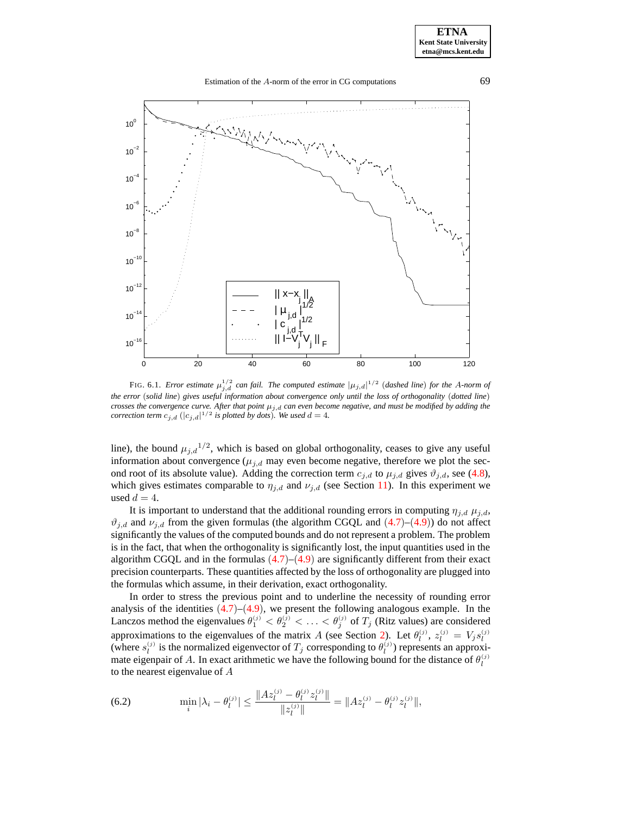Estimation of the A-norm of the error in CG computations 69



FIG. 6.1. *Error estimate*  $\mu_{j,d}^{1/2}$  *can fail. The computed estimate*  $|\mu_{j,d}|^{1/2}$  (*dashed line*) *for the A-norm of* the error (solid line) gives useful information about convergence only until the loss of orthogonality (dotted line) crosses the convergence curve. After that point  $\mu_{j,d}$  can even become negative, and must be modified by adding the *correction term*  $c_{j,d}$   $(|c_{j,d}|^{1/2}$  *is plotted by dots*)*. We used*  $d = 4$ *.* 

line), the bound  $\mu_{j,d}^{1/2}$ , which is based on global orthogonality, ceases to give any useful information about convergence ( $\mu_{j,d}$  may even become negative, therefore we plot the second root of its absolute value). Adding the correction term  $c_{j,d}$  to  $\mu_{j,d}$  gives  $\vartheta_{j,d}$ , see [\(4.8\)](#page-10-6), which gives estimates comparable to  $\eta_{i,d}$  and  $\nu_{i,d}$  (see Section [11\)](#page-21-1). In this experiment we used  $d = 4$ .

It is important to understand that the additional rounding errors in computing  $\eta_{i,d}$   $\mu_{i,d}$ ,  $\vartheta_{i,d}$  and  $\nu_{i,d}$  from the given formulas (the algorithm CGQL and  $(4.7)$  $(4.7)$  $(4.7)$ – $(4.9)$  $(4.9)$  $(4.9)$ ) do not affect significantly the values of the computed bounds and do not represent a problem. The problem is in the fact, that when the orthogonality is significantly lost, the input quantities used in the algorithm CGQL and in the formulas  $(4.7)$  $(4.7)$  $(4.7)$ – $(4.9)$  $(4.9)$  $(4.9)$  are significantly different from their exact precision counterparts. These quantities affected by the loss of orthogonality are plugged into the formulas which assume, in their derivation, exact orthogonality.

In order to stress the previous point and to underline the necessity of rounding error analysis of the identities  $(4.7)$  $(4.7)$  $(4.7)$ – $(4.9)$  $(4.9)$  $(4.9)$ , we present the following analogous example. In the Lanczos method the eigenvalues  $\theta_1^{(j)} < \theta_2^{(j)} < \ldots < \theta_j^{(j)}$  of  $T_j$  (Ritz values) are considered approximations to the eigenvalues of the matrix A (see Section [2\)](#page-3-3). Let  $\theta_l^{(j)}$ ,  $z_l^{(j)} = V_j s_l^{(j)}$ (where  $s_l^{(j)}$  is the normalized eigenvector of  $T_j$  corresponding to  $\theta_l^{(j)}$ ) represents an approximate eigenpair of A. In exact arithmetic we have the following bound for the distance of  $\theta_l^{(j)}$ to the nearest eigenvalue of A

<span id="page-13-0"></span>(6.2) 
$$
\min_{i} |\lambda_{i} - \theta_{l}^{(j)}| \leq \frac{\|Az_{l}^{(j)} - \theta_{l}^{(j)}z_{l}^{(j)}\|}{\|z_{l}^{(j)}\|} = \|Az_{l}^{(j)} - \theta_{l}^{(j)}z_{l}^{(j)}\|,
$$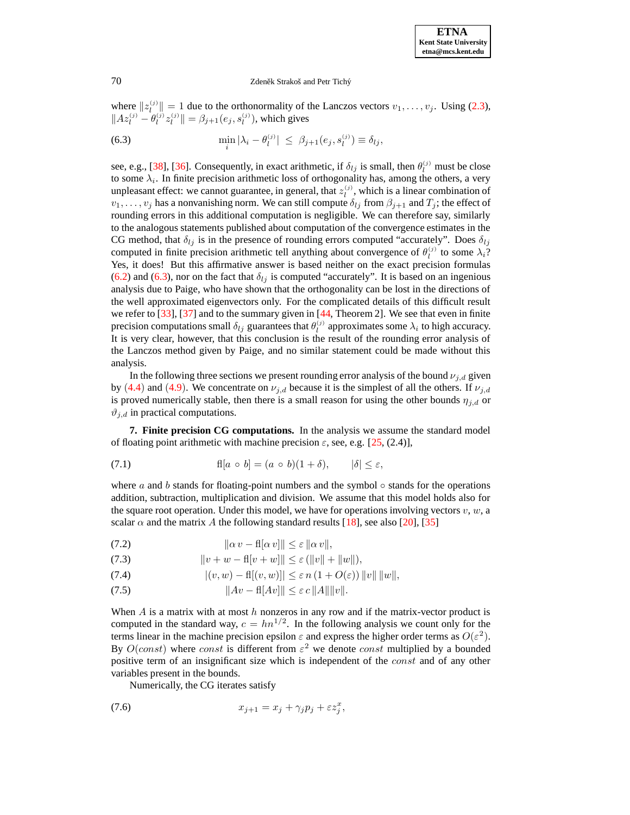where  $||z_i^{(j)}|| = 1$  due to the orthonormality of the Lanczos vectors  $v_1, \ldots, v_j$ . Using [\(2.3\)](#page-3-2),  $||Az_l^{(j)} - \theta_l^{(j)}z_l^{(j)}|| = \beta_{j+1}(e_j, s_l^{(j)})$ , which gives

<span id="page-14-1"></span>(6.3) 
$$
\min_i |\lambda_i - \theta_l^{(j)}| \leq \beta_{j+1}(e_j, s_l^{(j)}) \equiv \delta_{lj},
$$

see, e.g., [\[38\]](#page-24-14), [\[36\]](#page-24-6). Consequently, in exact arithmetic, if  $\delta_{lj}$  is small, then  $\theta_l^{(j)}$  must be close to some  $\lambda_i$ . In finite precision arithmetic loss of orthogonality has, among the others, a very unpleasant effect: we cannot guarantee, in general, that  $z_l^{(j)}$ , which is a linear combination of  $v_1, \ldots, v_j$  has a nonvanishing norm. We can still compute  $\delta_{lj}$  from  $\beta_{j+1}$  and  $T_j$ ; the effect of rounding errors in this additional computation is negligible. We can therefore say, similarly to the analogous statements published about computation of the convergence estimates in the CG method, that  $\delta_{lj}$  is in the presence of rounding errors computed "accurately". Does  $\delta_{lj}$ computed in finite precision arithmetic tell anything about convergence of  $\theta_l^{(j)}$  to some  $\lambda_i$ ? Yes, it does! But this affirmative answer is based neither on the exact precision formulas [\(6.2\)](#page-13-0) and [\(6.3\)](#page-14-1), nor on the fact that  $\delta_{lj}$  is computed "accurately". It is based on an ingenious analysis due to Paige, who have shown that the orthogonality can be lost in the directions of the well approximated eigenvectors only. For the complicated details of this difficult result we refer to [\[33\]](#page-24-3), [\[37\]](#page-24-25) and to the summary given in [\[44,](#page-24-21) Theorem 2]. We see that even in finite precision computations small  $\delta_{lj}$  guarantees that  $\theta_l^{(j)}$  approximates some  $\lambda_i$  to high accuracy. It is very clear, however, that this conclusion is the result of the rounding error analysis of the Lanczos method given by Paige, and no similar statement could be made without this analysis.

In the following three sections we present rounding error analysis of the bound  $\nu_{j,d}$  given by ([4.4](#page-10-0)) and ([4.9](#page-10-4)). We concentrate on  $\nu_{j,d}$  because it is the simplest of all the others. If  $\nu_{j,d}$ is proved numerically stable, then there is a small reason for using the other bounds  $\eta_{j,d}$  or  $\vartheta_{j,d}$  in practical computations.

<span id="page-14-0"></span>**7. Finite precision CG computations.** In the analysis we assume the standard model of floating point arithmetic with machine precision  $\varepsilon$ , see, e.g. [\[25,](#page-24-26) (2.4)],

<span id="page-14-3"></span>(7.1) 
$$
fl[a \circ b] = (a \circ b)(1 + \delta), \qquad |\delta| \leq \varepsilon,
$$

where a and b stands for floating-point numbers and the symbol  $\circ$  stands for the operations addition, subtraction, multiplication and division. We assume that this model holds also for the square root operation. Under this model, we have for operations involving vectors  $v, w, a$ scalar  $\alpha$  and the matrix A the following standard results [\[18\]](#page-24-27), see also [\[20\]](#page-24-28), [\[35\]](#page-24-5)

<span id="page-14-2"></span>(7.2)  $\|\alpha v - \mathbf{f}\|\alpha v\|\leq \varepsilon \|\alpha v\|,$ 

(7.3) 
$$
||v + w - f||v + w|| \le \varepsilon (||v|| + ||w||),
$$

(7.4) 
$$
|(v, w) - \text{fl}[(v, w)]| \leq \varepsilon n (1 + O(\varepsilon)) ||v|| ||w||,
$$

$$
(7.5) \t\t\t\t ||Av - \mathsf{fl}[Av]|| \leq \varepsilon c ||A|| ||v||.
$$

When  $A$  is a matrix with at most  $h$  nonzeros in any row and if the matrix-vector product is computed in the standard way,  $c = hn^{1/2}$ . In the following analysis we count only for the terms linear in the machine precision epsilon  $\varepsilon$  and express the higher order terms as  $O(\varepsilon^2)$ . By  $O(const)$  where const is different from  $\varepsilon^2$  we denote const multiplied by a bounded positive term of an insignificant size which is independent of the *const* and of any other variables present in the bounds.

<span id="page-14-4"></span>Numerically, the CG iterates satisfy

$$
(7.6) \t\t\t x_{j+1} = x_j + \gamma_j p_j + \varepsilon z_j^x,
$$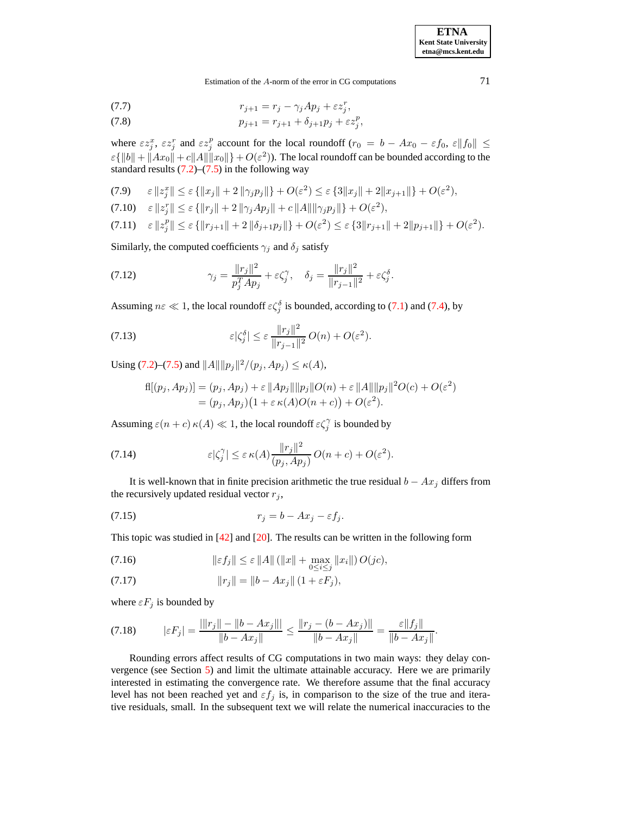**ETNA Kent State University etna@mcs.kent.edu**

Estimation of the A-norm of the error in CG computations 71

$$
(7.7) \t\t\t\t r_{j+1} = r_j - \gamma_j Ap_j + \varepsilon z_j^r,
$$

(7.8) 
$$
p_{j+1} = r_{j+1} + \delta_{j+1} p_j + \varepsilon z_j^p,
$$

where  $\epsilon z_j^x$ ,  $\epsilon z_j^r$  and  $\epsilon z_j^p$  account for the local roundoff  $(r_0 = b - Ax_0 - \epsilon f_0, \epsilon ||f_0|| \leq$  $\varepsilon\{\|b\| + \|Ax_0\| + c\|A\|\|x_0\|\} + O(\varepsilon^2)$ ). The local roundoff can be bounded according to the standard results  $(7.2)$ – $(7.5)$  in the following way

<span id="page-15-3"></span>(7.9) 
$$
\varepsilon \|z_j^x\| \le \varepsilon \{||x_j|| + 2 ||\gamma_j p_j||\} + O(\varepsilon^2) \le \varepsilon \{3||x_j|| + 2||x_{j+1}||\} + O(\varepsilon^2),
$$

$$
(7.10) \quad \varepsilon \, \|z_j^r\| \le \varepsilon \, \{ \|r_j\| + 2 \, \|\gamma_j A p_j\| + c \, \|A\| \|\gamma_j p_j\| \} + O(\varepsilon^2),
$$

$$
(7.11) \quad \varepsilon \|z_j^p\| \le \varepsilon \left\{\|r_{j+1}\| + 2\left\|\delta_{j+1}p_j\right\|\right\} + O(\varepsilon^2) \le \varepsilon \left\{\frac32\|r_{j+1}\| + 2\|p_{j+1}\|\right\} + O(\varepsilon^2).
$$

Similarly, the computed coefficients  $\gamma_j$  and  $\delta_j$  satisfy

<span id="page-15-1"></span>(7.12) 
$$
\gamma_j = \frac{\|r_j\|^2}{p_j^T A p_j} + \varepsilon \zeta_j^{\gamma}, \quad \delta_j = \frac{\|r_j\|^2}{\|r_{j-1}\|^2} + \varepsilon \zeta_j^{\delta}.
$$

Assuming  $n\varepsilon \ll 1$ , the local roundoff  $\varepsilon \zeta_j^{\delta}$  is bounded, according to [\(7.1\)](#page-14-3) and [\(7.4\)](#page-14-2), by

(7.13) 
$$
\varepsilon |\zeta_j^{\delta}| \leq \varepsilon \frac{\|r_j\|^2}{\|r_{j-1}\|^2} O(n) + O(\varepsilon^2).
$$

Using [\(7.2\)](#page-14-2)–[\(7.5\)](#page-14-2) and  $||A|| ||p_j||^2/(p_j, Ap_j) \le \kappa(A)$ ,

$$
f_1[(p_j, Ap_j)] = (p_j, Ap_j) + \varepsilon ||Ap_j|| ||p_j|| O(n) + \varepsilon ||A|| ||p_j||^2 O(c) + O(\varepsilon^2)
$$
  
=  $(p_j, Ap_j)(1 + \varepsilon \kappa(A)O(n + c)) + O(\varepsilon^2).$ 

Assuming  $\varepsilon(n+c) \kappa(A) \ll 1$ , the local roundoff  $\varepsilon \zeta_j^{\gamma}$  is bounded by

<span id="page-15-4"></span>(7.14) 
$$
\varepsilon |\zeta_j^{\gamma}| \leq \varepsilon \kappa(A) \frac{\|r_j\|^2}{(p_j, Ap_j)} O(n+c) + O(\varepsilon^2).
$$

It is well-known that in finite precision arithmetic the true residual  $b - Ax_j$  differs from the recursively updated residual vector  $r_j$ ,

<span id="page-15-2"></span>
$$
(7.15) \t\t\t r_j = b - Ax_j - \varepsilon f_j.
$$

This topic was studied in [\[42\]](#page-24-29) and [\[20\]](#page-24-28). The results can be written in the following form

<span id="page-15-5"></span>(7.16) 
$$
\|\varepsilon f_j\| \leq \varepsilon \|A\| \left( \|x\| + \max_{0 \leq i \leq j} \|x_i\| \right) O(jc),
$$

(7.17) 
$$
||r_j|| = ||b - Ax_j|| (1 + \varepsilon F_j),
$$

where  $\varepsilon F_j$  is bounded by

<span id="page-15-0"></span>
$$
(7.18) \t\t |\varepsilon F_j| = \frac{||r_j|| - ||b - Ax_j||}{||b - Ax_j||} \le \frac{||r_j - (b - Ax_j)||}{||b - Ax_j||} = \frac{\varepsilon ||f_j||}{||b - Ax_j||}.
$$

Rounding errors affect results of CG computations in two main ways: they delay convergence (see Section [5\)](#page-10-7) and limit the ultimate attainable accuracy. Here we are primarily interested in estimating the convergence rate. We therefore assume that the final accuracy level has not been reached yet and  $\varepsilon f_j$  is, in comparison to the size of the true and iterative residuals, small. In the subsequent text we will relate the numerical inaccuracies to the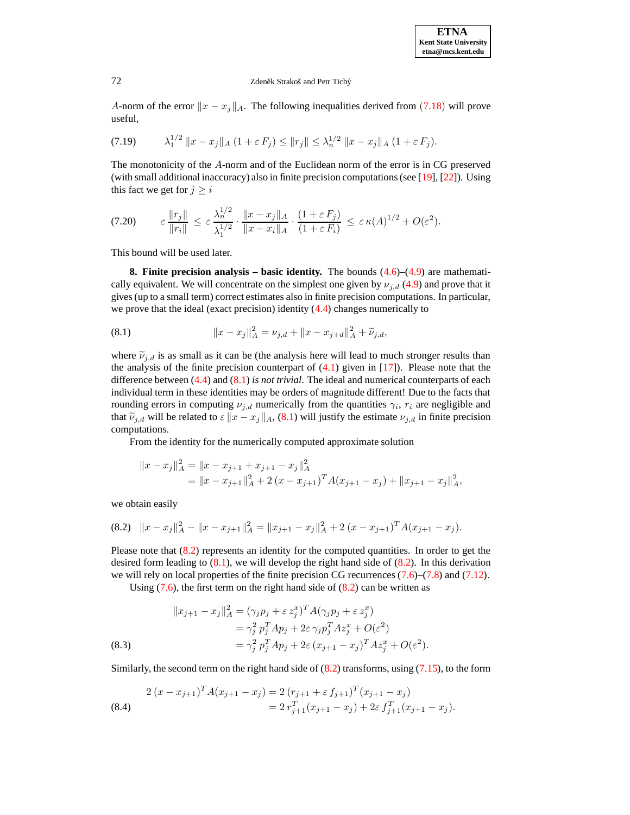A-norm of the error  $||x - x_j||_A$ . The following inequalities derived from ([7.18](#page-15-0)) will prove useful,

<span id="page-16-4"></span>
$$
(7.19) \qquad \lambda_1^{1/2} \|x - x_j\|_A \left(1 + \varepsilon F_j\right) \le \|r_j\| \le \lambda_n^{1/2} \|x - x_j\|_A \left(1 + \varepsilon F_j\right).
$$

The monotonicity of the A-norm and of the Euclidean norm of the error is in CG preserved (with small additional inaccuracy) also in finite precision computations(see [\[19\]](#page-24-11), [\[22\]](#page-24-12)). Using this fact we get for  $j \geq i$ 

<span id="page-16-5"></span>
$$
(7.20) \qquad \varepsilon \frac{\|r_j\|}{\|r_i\|} \leq \varepsilon \frac{\lambda_n^{1/2}}{\lambda_1^{1/2}} \cdot \frac{\|x - x_j\|_A}{\|x - x_i\|_A} \cdot \frac{(1 + \varepsilon F_j)}{(1 + \varepsilon F_i)} \leq \varepsilon \kappa(A)^{1/2} + O(\varepsilon^2).
$$

This bound will be used later.

**8. Finite precision analysis – basic identity.** The bounds [\(4.6\)](#page-10-3)–[\(4.9\)](#page-10-4) are mathematically equivalent. We will concentrate on the simplest one given by  $\nu_{i,d}$  [\(4.9\)](#page-10-4) and prove that it gives (up to a small term) correct estimates also in finite precision computations. In particular, we prove that the ideal (exact precision) identity [\(4.4\)](#page-10-0) changes numerically to

<span id="page-16-0"></span>(8.1) 
$$
||x - x_j||_A^2 = \nu_{j,d} + ||x - x_{j+d}||_A^2 + \widetilde{\nu}_{j,d},
$$

where  $\tilde{\nu}_{j,d}$  is as small as it can be (the analysis here will lead to much stronger results than the analysis of the finite precision counterpart of  $(4.1)$  given in  $[17]$ ). Please note that the difference between [\(4.4\)](#page-10-0) and [\(8.1\)](#page-16-0) *is not trivial*. The ideal and numerical counterparts of each individual term in these identities may be orders of magnitude different! Due to the facts that rounding errors in computing  $\nu_{j,d}$  numerically from the quantities  $\gamma_i$ ,  $r_i$  are negligible and that  $\tilde{\nu}_{j,d}$  will be related to  $\varepsilon ||x - x_j||_A$ , [\(8.1\)](#page-16-0) will justify the estimate  $\nu_{j,d}$  in finite precision computations.

From the identity for the numerically computed approximate solution

$$
||x - x_j||_A^2 = ||x - x_{j+1} + x_{j+1} - x_j||_A^2
$$
  
=  $||x - x_{j+1}||_A^2 + 2(x - x_{j+1})^T A (x_{j+1} - x_j) + ||x_{j+1} - x_j||_A^2,$ 

<span id="page-16-1"></span>we obtain easily

$$
(8.2) \quad \|x - x_j\|_A^2 - \|x - x_{j+1}\|_A^2 = \|x_{j+1} - x_j\|_A^2 + 2\left(x - x_{j+1}\right)^T A (x_{j+1} - x_j).
$$

Please note that  $(8.2)$  represents an identity for the computed quantities. In order to get the desired form leading to  $(8.1)$ , we will develop the right hand side of  $(8.2)$ . In this derivation we will rely on local properties of the finite precision CG recurrences  $(7.6)$ – $(7.8)$  and  $(7.12)$ .

Using  $(7.6)$ , the first term on the right hand side of  $(8.2)$  can be written as

<span id="page-16-2"></span>(8.3)  
\n
$$
||x_{j+1} - x_j||_A^2 = (\gamma_j p_j + \varepsilon z_j^x)^T A (\gamma_j p_j + \varepsilon z_j^x) \\
= \gamma_j^2 p_j^T A p_j + 2\varepsilon \gamma_j p_j^T A z_j^x + O(\varepsilon^2) \\
= \gamma_j^2 p_j^T A p_j + 2\varepsilon (x_{j+1} - x_j)^T A z_j^x + O(\varepsilon^2).
$$

Similarly, the second term on the right hand side of  $(8.2)$  transforms, using  $(7.15)$ , to the form

<span id="page-16-3"></span>
$$
2(x - x_{j+1})^T A (x_{j+1} - x_j) = 2 (r_{j+1} + \varepsilon f_{j+1})^T (x_{j+1} - x_j)
$$
  
=  $2 r_{j+1}^T (x_{j+1} - x_j) + 2 \varepsilon f_{j+1}^T (x_{j+1} - x_j).$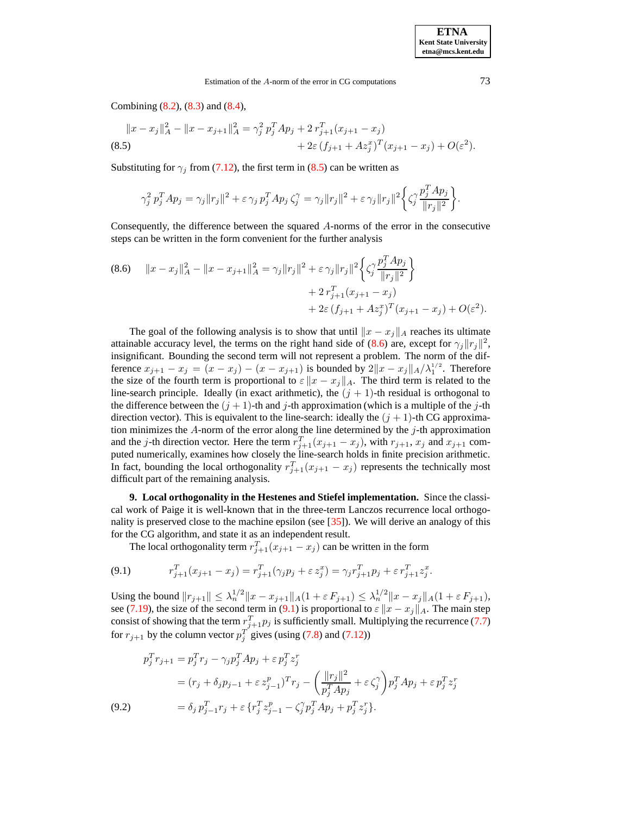Combining [\(8.2\)](#page-16-1), [\(8.3\)](#page-16-2) and [\(8.4\)](#page-16-3),

<span id="page-17-0"></span>
$$
||x - x_j||_A^2 - ||x - x_{j+1}||_A^2 = \gamma_j^2 p_j^T Ap_j + 2 r_{j+1}^T (x_{j+1} - x_j)
$$
  
(8.5)  

$$
+ 2\varepsilon (f_{j+1} + Az_j^x)^T (x_{j+1} - x_j) + O(\varepsilon^2).
$$

Substituting for  $\gamma_j$  from [\(7.12\)](#page-15-1), the first term in [\(8.5\)](#page-17-0) can be written as

$$
\gamma_j^2 p_j^T A p_j = \gamma_j \|r_j\|^2 + \varepsilon \gamma_j p_j^T A p_j \zeta_j^\gamma = \gamma_j \|r_j\|^2 + \varepsilon \gamma_j \|r_j\|^2 \left\{ \zeta_j^\gamma \frac{p_j^T A p_j}{\|r_j\|^2} \right\}.
$$

Consequently, the difference between the squared A-norms of the error in the consecutive steps can be written in the form convenient for the further analysis

<span id="page-17-1"></span>
$$
(8.6) \quad ||x - x_j||_A^2 - ||x - x_{j+1}||_A^2 = \gamma_j ||r_j||^2 + \varepsilon \gamma_j ||r_j||^2 \left\{ \zeta_j^{\gamma} \frac{p_j^T A p_j}{||r_j||^2} \right\} + 2 r_{j+1}^T (x_{j+1} - x_j) + 2\varepsilon (f_{j+1} + A z_j^x)^T (x_{j+1} - x_j) + O(\varepsilon^2).
$$

The goal of the following analysis is to show that until  $||x - x_j||_A$  reaches its ultimate attainable accuracy level, the terms on the right hand side of [\(8.6\)](#page-17-1) are, except for  $\gamma_j ||r_j||^2$ , insignificant. Bounding the second term will not represent a problem. The norm of the difference  $x_{j+1} - x_j = (x - x_j) - (x - x_{j+1})$  is bounded by  $2||x - x_j||_A / \lambda_1^{1/2}$ . Therefore the size of the fourth term is proportional to  $\varepsilon ||x - x_i||_A$ . The third term is related to the line-search principle. Ideally (in exact arithmetic), the  $(j + 1)$ -th residual is orthogonal to the difference between the  $(j + 1)$ -th and j-th approximation (which is a multiple of the j-th direction vector). This is equivalent to the line-search: ideally the  $(j + 1)$ -th CG approximation minimizes the  $A$ -norm of the error along the line determined by the  $j$ -th approximation and the j-th direction vector. Here the term  $r_{j+1}^T(x_{j+1} - x_j)$ , with  $r_{j+1}$ ,  $x_j$  and  $x_{j+1}$  computed numerically, examines how closely the line-search holds in finite precision arithmetic. In fact, bounding the local orthogonality  $r_{j+1}^T(x_{j+1} - x_j)$  represents the technically most difficult part of the remaining analysis.

**9. Local orthogonality in the Hestenes and Stiefel implementation.** Since the classical work of Paige it is well-known that in the three-term Lanczos recurrence local orthogonality is preserved close to the machine epsilon (see [\[35\]](#page-24-5)). We will derive an analogy of this for the CG algorithm, and state it as an independent result.

The local orthogonality term  $r_{j+1}^T(x_{j+1} - x_j)$  can be written in the form

<span id="page-17-2"></span>(9.1) 
$$
r_{j+1}^T(x_{j+1} - x_j) = r_{j+1}^T(\gamma_j p_j + \varepsilon z_j^x) = \gamma_j r_{j+1}^T p_j + \varepsilon r_{j+1}^T z_j^x.
$$

Using the bound  $||r_{j+1}|| \leq \lambda_n^{1/2} ||x - x_{j+1}||_A (1 + \varepsilon F_{j+1}) \leq \lambda_n^{1/2} ||x - x_j||_A (1 + \varepsilon F_{j+1}),$ see [\(7.19\)](#page-16-4), the size of the second term in [\(9.1\)](#page-17-2) is proportional to  $\varepsilon ||x - x_j||_A$ . The main step consist of showing that the term  $r_{j+1}^T p_j$  is sufficiently small. Multiplying the recurrence [\(7.7\)](#page-14-4) for  $r_{j+1}$  by the column vector  $p_j^T$  gives (using [\(7.8\)](#page-14-4) and [\(7.12\)](#page-15-1))

<span id="page-17-3"></span>
$$
p_j^T r_{j+1} = p_j^T r_j - \gamma_j p_j^T A p_j + \varepsilon p_j^T z_j^r
$$
  
=  $(r_j + \delta_j p_{j-1} + \varepsilon z_{j-1}^p)^T r_j - \left(\frac{\|r_j\|^2}{p_j^T A p_j} + \varepsilon \zeta_j^{\gamma}\right) p_j^T A p_j + \varepsilon p_j^T z_j^r$   
(9.2) 
$$
= \delta_j p_{j-1}^T r_j + \varepsilon \{r_j^T z_{j-1}^p - \zeta_j^{\gamma} p_j^T A p_j + p_j^T z_j^r\}.
$$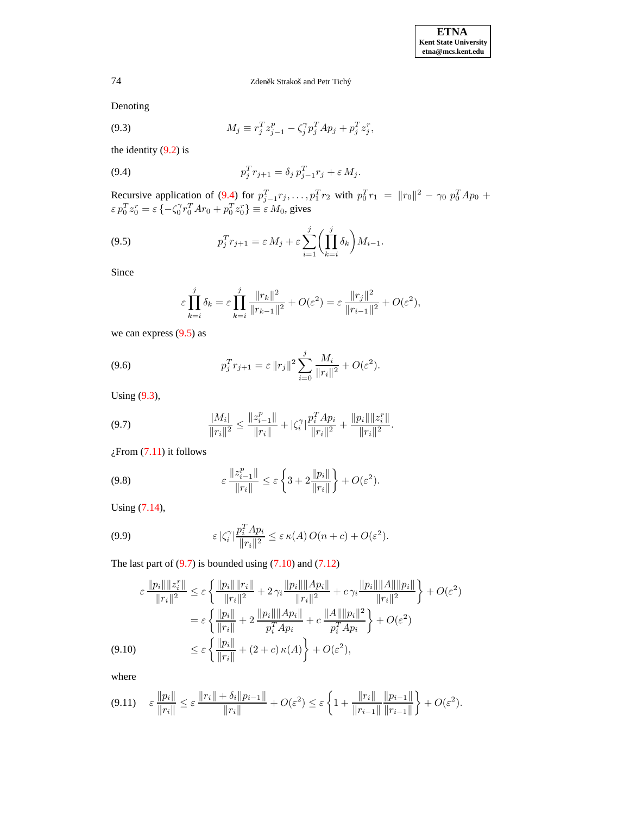Denoting

<span id="page-18-2"></span>(9.3) 
$$
M_j \equiv r_j^T z_{j-1}^p - \zeta_j^{\gamma} p_j^T A p_j + p_j^T z_j^r,
$$

the identity  $(9.2)$  is

<span id="page-18-0"></span>(9.4) 
$$
p_j^T r_{j+1} = \delta_j p_{j-1}^T r_j + \varepsilon M_j.
$$

Recursive application of [\(9.4\)](#page-18-0) for  $p_{j-1}^T r_j, \ldots, p_1^T r_2$  with  $p_0^T r_1 = ||r_0||^2 - \gamma_0 p_0^T A p_0 +$  $\varepsilon p_0^T z_0^r = \varepsilon \{-\zeta_0^{\gamma} r_0^T A r_0 + p_0^T z_0^r\} \equiv \varepsilon M_0$ , gives

<span id="page-18-1"></span>(9.5) 
$$
p_j^T r_{j+1} = \varepsilon M_j + \varepsilon \sum_{i=1}^j \left( \prod_{k=i}^j \delta_k \right) M_{i-1}.
$$

Since

$$
\varepsilon \prod_{k=i}^{j} \delta_k = \varepsilon \prod_{k=i}^{j} \frac{\|r_k\|^2}{\|r_{k-1}\|^2} + O(\varepsilon^2) = \varepsilon \frac{\|r_j\|^2}{\|r_{i-1}\|^2} + O(\varepsilon^2),
$$

we can express [\(9.5\)](#page-18-1) as

<span id="page-18-8"></span>(9.6) 
$$
p_j^T r_{j+1} = \varepsilon \|r_j\|^2 \sum_{i=0}^j \frac{M_i}{\|r_i\|^2} + O(\varepsilon^2).
$$

Using [\(9.3\)](#page-18-2),

<span id="page-18-3"></span>(9.7) 
$$
\frac{|M_i|}{\|r_i\|^2} \le \frac{\|z_{i-1}^p\|}{\|r_i\|^2} + |\zeta_i^{\gamma}| \frac{p_i^T A p_i}{\|r_i\|^2} + \frac{\|p_i\| \|z_i^r\|}{\|r_i\|^2}.
$$

 $\zeta$ From [\(7.11\)](#page-15-3) it follows

<span id="page-18-5"></span>(9.8) 
$$
\varepsilon \frac{\|z_{i-1}^p\|}{\|r_i\|} \leq \varepsilon \left\{3 + 2\frac{\|p_i\|}{\|r_i\|}\right\} + O(\varepsilon^2).
$$

Using [\(7.14\)](#page-15-4),

<span id="page-18-6"></span>(9.9) 
$$
\varepsilon \, |\zeta_i^{\gamma}| \frac{p_i^T A p_i}{\|r_i\|^2} \leq \varepsilon \, \kappa(A) \, O(n+c) + O(\varepsilon^2).
$$

The last part of  $(9.7)$  is bounded using  $(7.10)$  and  $(7.12)$ 

<span id="page-18-7"></span>
$$
\varepsilon \frac{\|p_i\| \|z_i^r\|}{\|r_i\|^2} \leq \varepsilon \left\{ \frac{\|p_i\| \|r_i\|}{\|r_i\|^2} + 2\gamma_i \frac{\|p_i\| \|Ap_i\|}{\|r_i\|^2} + c\gamma_i \frac{\|p_i\| \|A\| \|p_i\|}{\|r_i\|^2} \right\} + O(\varepsilon^2)
$$

$$
= \varepsilon \left\{ \frac{\|p_i\|}{\|r_i\|} + 2\frac{\|p_i\| \|Ap_i\|}{p_i^T Ap_i} + c\frac{\|A\| \|p_i\|^2}{p_i^T Ap_i} \right\} + O(\varepsilon^2)
$$

$$
(9.10) \leq \varepsilon \left\{ \frac{\|p_i\|}{\|r_i\|} + (2+c)\,\kappa(A) \right\} + O(\varepsilon^2),
$$

where

<span id="page-18-4"></span>
$$
(9.11) \quad \varepsilon \, \frac{\|p_i\|}{\|r_i\|} \le \varepsilon \, \frac{\|r_i\| + \delta_i \|p_{i-1}\|}{\|r_i\|} + O(\varepsilon^2) \le \varepsilon \left\{ 1 + \frac{\|r_i\|}{\|r_{i-1}\|} \frac{\|p_{i-1}\|}{\|r_{i-1}\|} \right\} + O(\varepsilon^2).
$$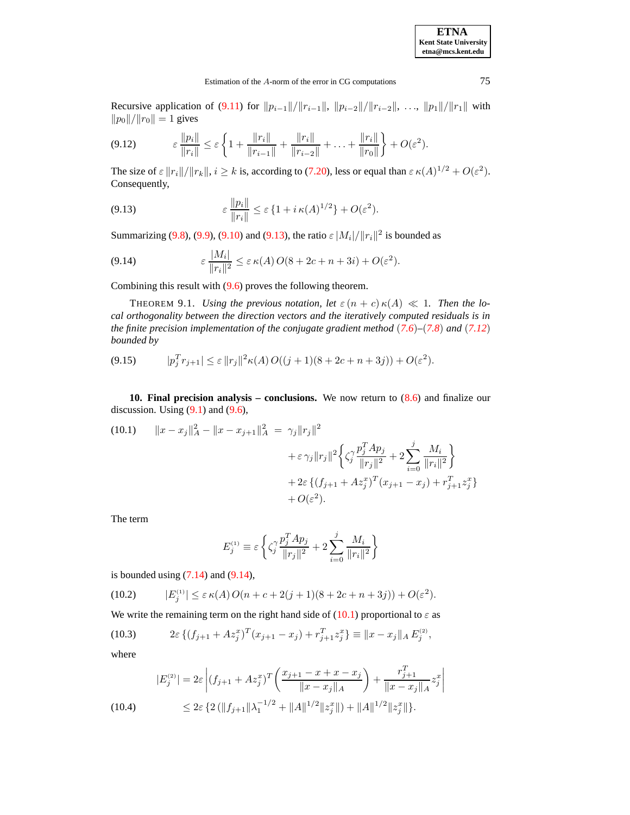**ETNA Kent State University etna@mcs.kent.edu**

## Estimation of the A-norm of the error in CG computations 75

Recursive application of [\(9.11\)](#page-18-4) for  $||p_{i-1}||/||r_{i-1}||$ ,  $||p_{i-2}||/||r_{i-2}||$ , ...,  $||p_1||/||r_1||$  with  $||p_0||/||r_0|| = 1$  gives

$$
(9.12) \qquad \qquad \varepsilon \, \frac{\|p_i\|}{\|r_i\|} \leq \varepsilon \, \bigg\{ 1 + \frac{\|r_i\|}{\|r_{i-1}\|} + \frac{\|r_i\|}{\|r_{i-2}\|} + \ldots + \frac{\|r_i\|}{\|r_0\|} \bigg\} + O(\varepsilon^2).
$$

The size of  $\varepsilon ||r_i||/||r_k||$ ,  $i \ge k$  is, according to [\(7.20\)](#page-16-5), less or equal than  $\varepsilon \kappa(A)^{1/2} + O(\varepsilon^2)$ . Consequently,

<span id="page-19-1"></span>(9.13) 
$$
\varepsilon \frac{\|p_i\|}{\|r_i\|} \leq \varepsilon \{1 + i \kappa(A)^{1/2}\} + O(\varepsilon^2).
$$

Summarizing [\(9.8\)](#page-18-5), [\(9.9\)](#page-18-6), [\(9.10\)](#page-18-7) and [\(9.13\)](#page-19-1), the ratio  $\varepsilon |M_i|/||r_i||^2$  is bounded as

<span id="page-19-2"></span>(9.14) 
$$
\varepsilon \frac{|M_i|}{\|r_i\|^2} \leq \varepsilon \kappa(A) O(8 + 2c + n + 3i) + O(\varepsilon^2).
$$

Combining this result with [\(9.6\)](#page-18-8) proves the following theorem.

THEOREM 9.1. *Using the previous notation, let*  $\varepsilon$   $(n + c) \kappa(A) \ll 1$ . *Then the local orthogonality between the direction vectors and the iteratively computed residuals is in the finite precision implementation of the conjugate gradient method* (*[7.6](#page-14-4)*)*–*(*[7.8](#page-14-4)*) *and* (*[7.12](#page-15-1)*) *bounded by*

$$
(9.15) \t |p_j^T r_{j+1}| \leq \varepsilon ||r_j||^2 \kappa(A) O((j+1)(8+2c+n+3j)) + O(\varepsilon^2).
$$

<span id="page-19-0"></span>**10. Final precision analysis – conclusions.** We now return to [\(8.6\)](#page-17-1) and finalize our discussion. Using  $(9.1)$  and  $(9.6)$ ,

<span id="page-19-3"></span>(10.1) 
$$
||x - x_j||_A^2 - ||x - x_{j+1}||_A^2 = \gamma_j ||r_j||^2
$$

$$
+ \varepsilon \gamma_j ||r_j||^2 \left\{ \zeta_j^{\gamma} \frac{p_j^T A p_j}{||r_j||^2} + 2 \sum_{i=0}^j \frac{M_i}{||r_i||^2} \right\}
$$

$$
+ 2\varepsilon \left\{ (f_{j+1} + Az_j^x)^T (x_{j+1} - x_j) + r_{j+1}^T z_j^x \right\}
$$

$$
+ O(\varepsilon^2).
$$

The term

$$
E_j^{(1)} \equiv \varepsilon \left\{ \zeta_j^{\gamma} \frac{p_j^T A p_j}{\|r_j\|^2} + 2 \sum_{i=0}^j \frac{M_i}{\|r_i\|^2} \right\}
$$

is bounded using  $(7.14)$  and  $(9.14)$ ,

(10.2) 
$$
|E_j^{(1)}| \le \varepsilon \kappa(A) O(n + c + 2(j+1)(8 + 2c + n + 3j)) + O(\varepsilon^2).
$$

We write the remaining term on the right hand side of [\(10.1\)](#page-19-3) proportional to  $\varepsilon$  as

(10.3) 
$$
2\varepsilon \left\{ (f_{j+1} + Az_j^x)^T (x_{j+1} - x_j) + r_{j+1}^T z_j^x \right\} \equiv \|x - x_j\|_A E_j^{(2)},
$$

where

$$
|E_j^{(2)}| = 2\varepsilon \left| (f_{j+1} + Az_j^x)^T \left( \frac{x_{j+1} - x + x - x_j}{\|x - x_j\|_A} \right) + \frac{r_{j+1}^T}{\|x - x_j\|_A} z_j^x \right|
$$
  
(10.4)  

$$
\leq 2\varepsilon \left\{ 2 \left( \|f_{j+1}\| \lambda_1^{-1/2} + \|A\|^{1/2} \|z_j^x\| \right) + \|A\|^{1/2} \|z_j^x\| \right\}.
$$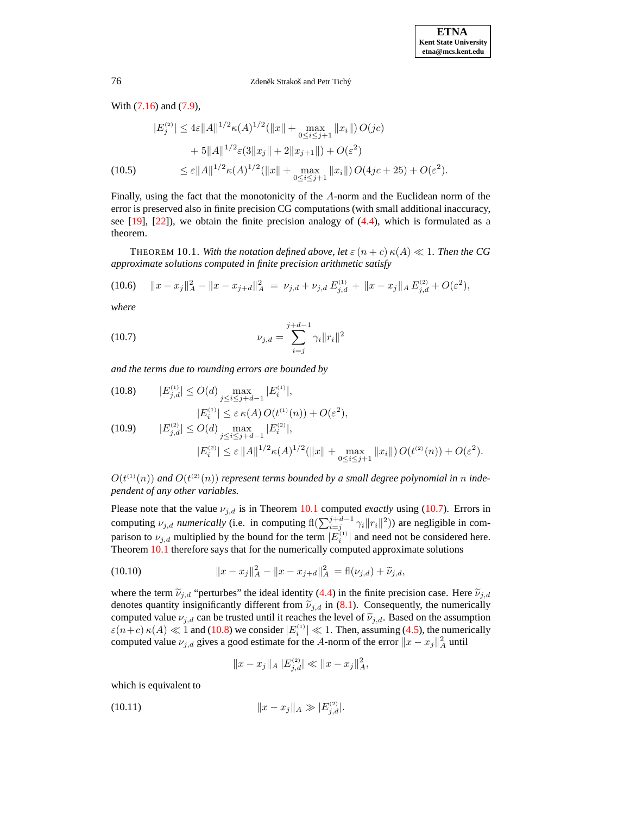With [\(7.16\)](#page-15-5) and [\(7.9\)](#page-15-3),

$$
|E_j^{(2)}| \le 4\varepsilon ||A||^{1/2} \kappa(A)^{1/2} (||x|| + \max_{0 \le i \le j+1} ||x_i||) O(jc)
$$
  
+ 5||A||^{1/2} \varepsilon(3||x\_j|| + 2||x\_{j+1}||) + O(\varepsilon^2)  
(10.5) 
$$
\le \varepsilon ||A||^{1/2} \kappa(A)^{1/2} (||x|| + \max_{0 \le i \le j+1} ||x_i||) O(4jc + 25) + O(\varepsilon^2).
$$

Finally, using the fact that the monotonicity of the A-norm and the Euclidean norm of the error is preserved also in finite precision CG computations (with small additional inaccuracy, see  $[19]$ ,  $[22]$ ), we obtain the finite precision analogy of  $(4.4)$ , which is formulated as a theorem.

<span id="page-20-0"></span>**THEOREM 10.1.** With the notation defined above, let  $\varepsilon$   $(n + c) \kappa(A) \ll 1$ . Then the CG *approximate solutions computed in finite precision arithmetic satisfy*

$$
(10.6) \t||x - x_j||_A^2 - ||x - x_{j+d}||_A^2 = \nu_{j,d} + \nu_{j,d} E_{j,d}^{(1)} + ||x - x_j||_A E_{j,d}^{(2)} + O(\varepsilon^2),
$$

*where*

<span id="page-20-1"></span>(10.7) 
$$
\nu_{j,d} = \sum_{i=j}^{j+d-1} \gamma_i \|r_i\|^2
$$

*and the terms due to rounding errors are bounded by*

<span id="page-20-2"></span>(10.8) 
$$
|E_{j,d}^{(1)}| \le O(d) \max_{j \le i \le j+d-1} |E_i^{(1)}|,
$$
  
\n
$$
|E_i^{(1)}| \le \varepsilon \kappa(A) O(t^{(1)}(n)) + O(\varepsilon^2),
$$
  
\n(10.9) 
$$
|E_{j,d}^{(2)}| \le O(d) \max_{j \le i \le j+d-1} |E_i^{(2)}|,
$$
  
\n
$$
|E_i^{(2)}| \le \varepsilon ||A||^{1/2} \kappa(A)^{1/2} (||x|| + \max_{0 \le i \le j+1} ||x_i||) O(t^{(2)}(n)) + O(\varepsilon^2).
$$

 $O(t^{(1)}(n))$  and  $O(t^{(2)}(n))$  represent terms bounded by a small degree polynomial in n inde*pendent of any other variables.*

Please note that the value  $\nu_{j,d}$  is in Theorem [10.1](#page-20-0) computed *exactly* using [\(10.7\)](#page-20-1). Errors in computing  $\nu_{j,d}$  *numerically* (i.e. in computing  $f(\sum_{i=j}^{j+d-1} \gamma_i ||r_i||^2)$ ) are negligible in comparison to  $\nu_{j,d}$  multiplied by the bound for the term  $|E_i^{(1)}|$  and need not be considered here. Theorem [10.1](#page-20-0) therefore says that for the numerically computed approximate solutions

(10.10) 
$$
||x - x_j||_A^2 - ||x - x_{j+d}||_A^2 = \text{fl}(\nu_{j,d}) + \tilde{\nu}_{j,d},
$$

where the term  $\tilde{\nu}_{j,d}$  "perturbes" the ideal identity [\(4.4\)](#page-10-0) in the finite precision case. Here  $\tilde{\nu}_{j,d}$ denotes quantity insignificantly different from  $\tilde{\nu}_{j,d}$  in [\(8.1\)](#page-16-0). Consequently, the numerically computed value  $\nu_{j,d}$  can be trusted until it reaches the level of  $\tilde{\nu}_{j,d}$ . Based on the assumption  $\varepsilon(n+c) \kappa(A) \ll 1$  and [\(10.8\)](#page-20-2) we consider  $|E_i^{(1)}| \ll 1$ . Then, assuming [\(4.5\)](#page-10-1), the numerically computed value  $\nu_{j,d}$  gives a good estimate for the A-norm of the error  $||x - x_j||_A^2$  until

<span id="page-20-3"></span>
$$
||x - x_j||_A \, |E_{j,d}^{(2)}| \ll ||x - x_j||_A^2,
$$

which is equivalent to

(10.11) 
$$
||x - x_j||_A \gg |E_{j,d}^{(2)}|.
$$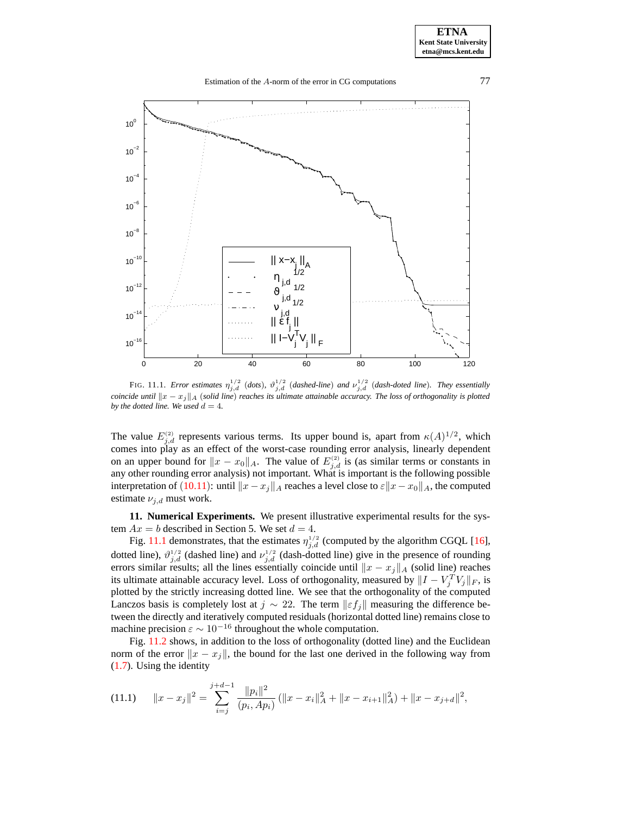#### Estimation of the A-norm of the error in CG computations 77



<span id="page-21-0"></span>FIG. 11.1. *Error estimates*  $\eta_{j,d}^{1/2}$  (*dots*),  $\vartheta_{j,d}^{1/2}$  (*dashed-line*) *and*  $\nu_{j,d}^{1/2}$  (*dash-doted line*). *They essentially coincide until*  $||x - x_j||_A$  (*solid line*) *reaches its ultimate attainable accuracy. The loss of orthogonality is plotted by the dotted line.* We used  $d = 4$ .

The value  $E_{j,d}^{(2)}$  represents various terms. Its upper bound is, apart from  $\kappa(A)^{1/2}$ , which comes into play as an effect of the worst-case rounding error analysis, linearly dependent on an upper bound for  $||x - x_0||_A$ . The value of  $E_{j,d}^{(2)}$  is (as similar terms or constants in any other rounding error analysis) not important. What is important is the following possible interpretation of ([10.11](#page-20-3)): until  $||x - x_j||_A$  reaches a level close to  $\varepsilon ||x - x_0||_A$ , the computed estimate  $\nu_{j,d}$  must work.

<span id="page-21-1"></span>**11. Numerical Experiments.** We present illustrative experimental results for the system  $Ax = b$  described in Section 5. We set  $d = 4$ .

Fig. [11.1](#page-21-0) demonstrates, that the estimates  $\eta_{j,d}^{1/2}$  (computed by the algorithm CGQL [\[16\]](#page-23-3), dotted line),  $\vartheta_{j,d}^{1/2}$  (dashed line) and  $\nu_{j,d}^{1/2}$  (dash-dotted line) give in the presence of rounding errors similar results; all the lines essentially coincide until  $||x - x_j||_A$  (solid line) reaches its ultimate attainable accuracy level. Loss of orthogonality, measured by  $||I - V_j^T V_j||_F$ , is plotted by the strictly increasing dotted line. We see that the orthogonality of the computed Lanczos basis is completely lost at  $j \sim 22$ . The term  $||\varepsilon f_i||$  measuring the difference between the directly and iteratively computed residuals (horizontal dotted line) remains close to machine precision  $\varepsilon \sim 10^{-16}$  throughout the whole computation.

Fig. [11.2](#page-22-0) shows, in addition to the loss of orthogonality (dotted line) and the Euclidean norm of the error  $||x - x_i||$ , the bound for the last one derived in the following way from [\(1.7\)](#page-1-0). Using the identity

$$
(11.1) \t||x - x_j||^2 = \sum_{i=j}^{j+d-1} \frac{||p_i||^2}{(p_i, Ap_i)} (||x - x_i||_A^2 + ||x - x_{i+1}||_A^2) + ||x - x_{j+d}||^2,
$$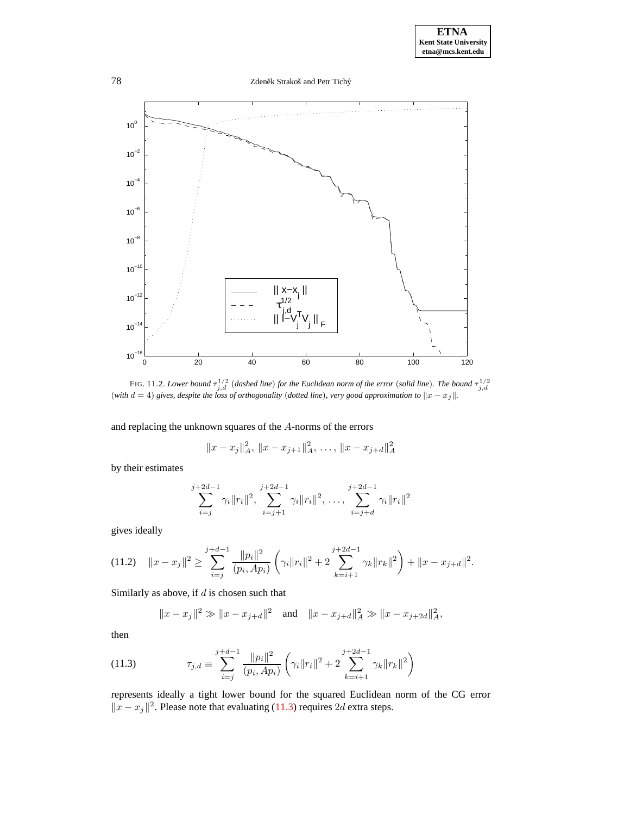78 Zdeněk Strakoš and Petr Tichý



<span id="page-22-0"></span>FIG. 11.2. Lower bound  $\tau_{j,d}^{1/2}$  (dashed line) for the Euclidean norm of the error (solid line). The bound  $\tau_{j,d}^{1/2}$ <br>(with  $d = 4$ ) gives, despite the loss of orthogonality (dotted line), very good approximation to

and replacing the unknown squares of the A-norms of the errors

$$
||x - x_j||_A^2, ||x - x_{j+1}||_A^2, \ldots, ||x - x_{j+d}||_A^2
$$

by their estimates

$$
\sum_{i=j}^{j+2d-1} \gamma_i \|r_i\|^2, \sum_{i=j+1}^{j+2d-1} \gamma_i \|r_i\|^2, \dots, \sum_{i=j+d}^{j+2d-1} \gamma_i \|r_i\|^2
$$

gives ideally

$$
(11.2) \quad \|x - x_j\|^2 \ge \sum_{i=j}^{j+d-1} \frac{\|p_i\|^2}{(p_i, Ap_i)} \left(\gamma_i \|r_i\|^2 + 2 \sum_{k=i+1}^{j+2d-1} \gamma_k \|r_k\|^2\right) + \|x - x_{j+d}\|^2.
$$

Similarly as above, if  $d$  is chosen such that

 $\boldsymbol{j}$ 

$$
||x - x_j||^2 \gg ||x - x_{j+d}||^2
$$
 and  $||x - x_{j+d}||_A^2 \gg ||x - x_{j+2d}||_A^2$ ,

then

<span id="page-22-1"></span>(11.3) 
$$
\tau_{j,d} \equiv \sum_{i=j}^{j+d-1} \frac{\|p_i\|^2}{(p_i, Ap_i)} \left(\gamma_i \|r_i\|^2 + 2 \sum_{k=i+1}^{j+2d-1} \gamma_k \|r_k\|^2\right)
$$

represents ideally a tight lower bound for the squared Euclidean norm of the CG error  $||x - x_j||^2$ . Please note that evaluating [\(11.3\)](#page-22-1) requires 2d extra steps.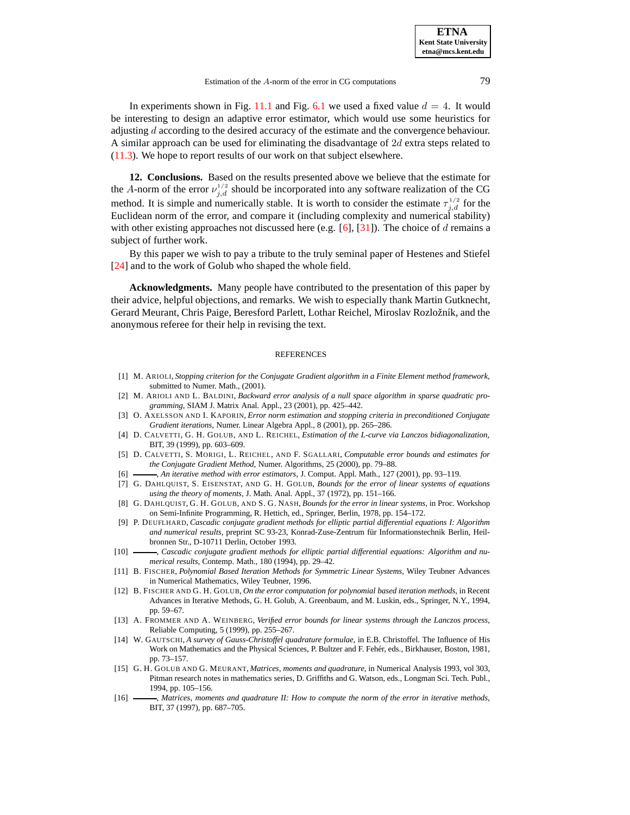In experiments shown in Fig. [11.1](#page-21-0) and Fig. [6.1](#page-21-0) we used a fixed value  $d = 4$ . It would be interesting to design an adaptive error estimator, which would use some heuristics for adjusting d according to the desired accuracy of the estimate and the convergence behaviour. A similar approach can be used for eliminating the disadvantage of  $2d$  extra steps related to [\(11.3\)](#page-22-1). We hope to report results of our work on that subject elsewhere.

**12. Conclusions.** Based on the results presented above we believe that the estimate for the A-norm of the error  $\nu_{j,d}^{1/2}$  should be incorporated into any software realization of the CG method. It is simple and numerically stable. It is worth to consider the estimate  $\tau_{j,d}^{1/2}$  for the Euclidean norm of the error, and compare it (including complexity and numerical stability) with other existing approaches not discussed here (e.g. [\[6\]](#page-23-11), [\[31\]](#page-24-30)). The choice of d remains a subject of further work.

By this paper we wish to pay a tribute to the truly seminal paper of Hestenes and Stiefel [\[24\]](#page-24-0) and to the work of Golub who shaped the whole field.

**Acknowledgments.** Many people have contributed to the presentation of this paper by their advice, helpful objections, and remarks. We wish to especially thank Martin Gutknecht, Gerard Meurant, Chris Paige, Beresford Parlett, Lothar Reichel, Miroslav Rozložník, and the anonymous referee for their help in revising the text.

#### **REFERENCES**

- <span id="page-23-4"></span>[1] M. ARIOLI, *Stopping criterion for the Conjugate Gradient algorithm in a Finite Element method framework*, submitted to Numer. Math., (2001).
- <span id="page-23-5"></span>[2] M. ARIOLI AND L. BALDINI, *Backward error analysis of a null space algorithm in sparse quadratic programming*, SIAM J. Matrix Anal. Appl., 23 (2001), pp. 425–442.
- <span id="page-23-13"></span>[3] O. AXELSSON AND I. KAPORIN, *Error norm estimation and stopping criteria in preconditioned Conjugate Gradient iterations*, Numer. Linear Algebra Appl., 8 (2001), pp. 265–286.
- <span id="page-23-10"></span>[4] D. CALVETTI, G. H. GOLUB, AND L. REICHEL, *Estimation of the L-curve via Lanczos bidiagonalization*, BIT, 39 (1999), pp. 603–609.
- <span id="page-23-14"></span>[5] D. CALVETTI, S. MORIGI, L. REICHEL, AND F. SGALLARI, *Computable error bounds and estimates for the Conjugate Gradient Method*, Numer. Algorithms, 25 (2000), pp. 79–88.
- <span id="page-23-11"></span><span id="page-23-0"></span>[6] , *An iterative method with error estimators*, J. Comput. Appl. Math., 127 (2001), pp. 93–119.
- [7] G. DAHLQUIST, S. EISENSTAT, AND G. H. GOLUB, *Bounds for the error of linear systems of equations using the theory of moments*, J. Math. Anal. Appl., 37 (1972), pp. 151–166.
- <span id="page-23-1"></span>[8] G. DAHLQUIST, G. H. GOLUB, AND S. G. NASH, *Bounds for the error in linear systems*, in Proc. Workshop on Semi-Infinite Programming, R. Hettich, ed., Springer, Berlin, 1978, pp. 154–172.
- <span id="page-23-6"></span>[9] P. DEUFLHARD, *Cascadic conjugate gradient methods for elliptic partial differential equations I: Algorithm and numerical results*, preprint SC 93-23, Konrad-Zuse-Zentrum für Informationstechnik Berlin, Heilbronnen Str., D-10711 Derlin, October 1993.
- <span id="page-23-7"></span>[10] , *Cascadic conjugate gradient methods for elliptic partial differential equations: Algorithm and numerical results*, Contemp. Math., 180 (1994), pp. 29–42.
- <span id="page-23-9"></span>[11] B. FISCHER, *Polynomial Based Iteration Methods for Symmetric Linear Systems*, Wiley Teubner Advances in Numerical Mathematics, Wiley Teubner, 1996.
- <span id="page-23-8"></span>[12] B. FISCHER AND G. H. GOLUB, *On the error computation for polynomial based iteration methods*, in Recent Advances in Iterative Methods, G. H. Golub, A. Greenbaum, and M. Luskin, eds., Springer, N.Y., 1994, pp. 59–67.
- <span id="page-23-12"></span>[13] A. FROMMER AND A. WEINBERG, *Verified error bounds for linear systems through the Lanczos process*, Reliable Computing, 5 (1999), pp. 255–267.
- <span id="page-23-15"></span>[14] W. GAUTSCHI, *A survey of Gauss-Christoffel quadrature formulae*, in E.B. Christoffel. The Influence of His Work on Mathematics and the Physical Sciences, P. Bultzer and F. Fehér, eds., Birkhauser, Boston, 1981, pp. 73–157.
- <span id="page-23-2"></span>[15] G. H. GOLUB AND G. MEURANT, *Matrices, moments and quadrature*, in Numerical Analysis 1993, vol 303, Pitman research notes in mathematics series, D. Griffiths and G. Watson, eds., Longman Sci. Tech. Publ., 1994, pp. 105–156.
- <span id="page-23-3"></span>[16] , *Matrices, moments and quadrature II: How to compute the norm of the error in iterative methods*, BIT, 37 (1997), pp. 687–705.